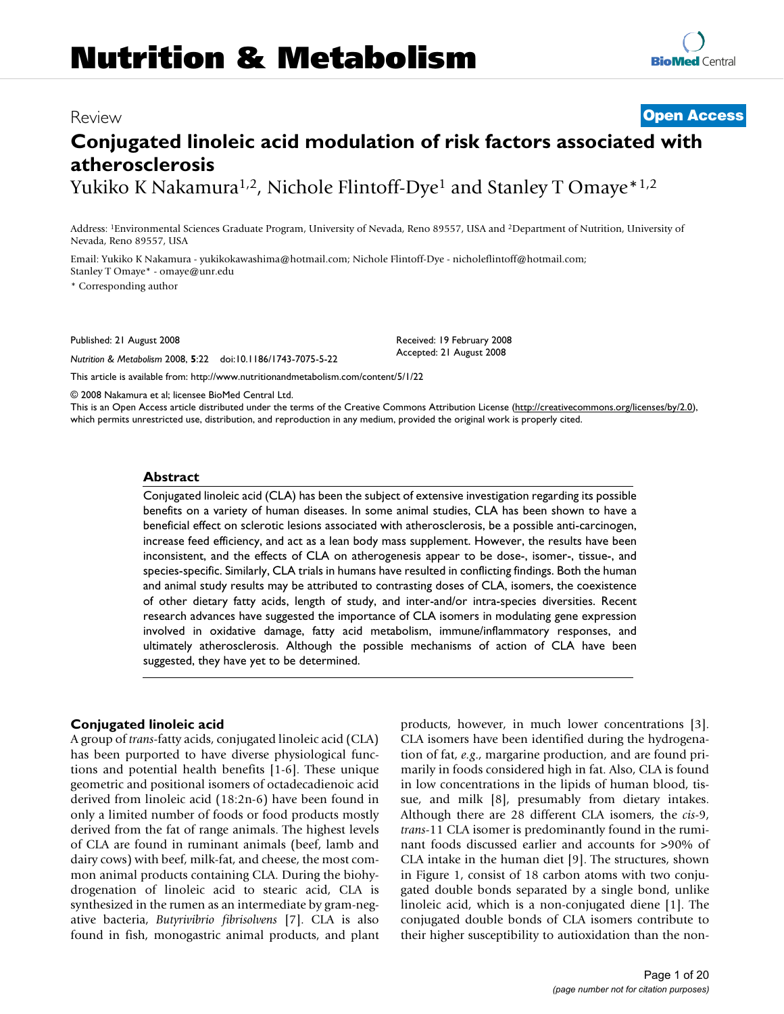# Review **[Open Access](http://www.biomedcentral.com/info/about/charter/)**

# **Conjugated linoleic acid modulation of risk factors associated with atherosclerosis** Yukiko K Nakamura<sup>1,2</sup>, Nichole Flintoff-Dye<sup>1</sup> and Stanley T Omaye<sup>\*1,2</sup>

Address: 1Environmental Sciences Graduate Program, University of Nevada, Reno 89557, USA and 2Department of Nutrition, University of Nevada, Reno 89557, USA

Email: Yukiko K Nakamura - yukikokawashima@hotmail.com; Nichole Flintoff-Dye - nicholeflintoff@hotmail.com; Stanley T Omaye\* - omaye@unr.edu

\* Corresponding author

Published: 21 August 2008

*Nutrition & Metabolism* 2008, **5**:22 doi:10.1186/1743-7075-5-22

Received: 19 February 2008 Accepted: 21 August 2008

[This article is available from: http://www.nutritionandmetabolism.com/content/5/1/22](http://www.nutritionandmetabolism.com/content/5/1/22)

© 2008 Nakamura et al; licensee BioMed Central Ltd.

This is an Open Access article distributed under the terms of the Creative Commons Attribution License [\(http://creativecommons.org/licenses/by/2.0\)](http://creativecommons.org/licenses/by/2.0), which permits unrestricted use, distribution, and reproduction in any medium, provided the original work is properly cited.

#### **Abstract**

Conjugated linoleic acid (CLA) has been the subject of extensive investigation regarding its possible benefits on a variety of human diseases. In some animal studies, CLA has been shown to have a beneficial effect on sclerotic lesions associated with atherosclerosis, be a possible anti-carcinogen, increase feed efficiency, and act as a lean body mass supplement. However, the results have been inconsistent, and the effects of CLA on atherogenesis appear to be dose-, isomer-, tissue-, and species-specific. Similarly, CLA trials in humans have resulted in conflicting findings. Both the human and animal study results may be attributed to contrasting doses of CLA, isomers, the coexistence of other dietary fatty acids, length of study, and inter-and/or intra-species diversities. Recent research advances have suggested the importance of CLA isomers in modulating gene expression involved in oxidative damage, fatty acid metabolism, immune/inflammatory responses, and ultimately atherosclerosis. Although the possible mechanisms of action of CLA have been suggested, they have yet to be determined.

## **Conjugated linoleic acid**

A group of *trans*-fatty acids, conjugated linoleic acid (CLA) has been purported to have diverse physiological functions and potential health benefits [1-6]. These unique geometric and positional isomers of octadecadienoic acid derived from linoleic acid (18:2n-6) have been found in only a limited number of foods or food products mostly derived from the fat of range animals. The highest levels of CLA are found in ruminant animals (beef, lamb and dairy cows) with beef, milk-fat, and cheese, the most common animal products containing CLA. During the biohydrogenation of linoleic acid to stearic acid, CLA is synthesized in the rumen as an intermediate by gram-negative bacteria, *Butyrivibrio fibrisolvens* [7]. CLA is also found in fish, monogastric animal products, and plant products, however, in much lower concentrations [3]. CLA isomers have been identified during the hydrogenation of fat, *e.g*., margarine production, and are found primarily in foods considered high in fat. Also, CLA is found in low concentrations in the lipids of human blood, tissue, and milk [8], presumably from dietary intakes. Although there are 28 different CLA isomers, the *cis*-9, *trans*-11 CLA isomer is predominantly found in the ruminant foods discussed earlier and accounts for >90% of CLA intake in the human diet [9]. The structures, shown in Figure 1, consist of 18 carbon atoms with two conjugated double bonds separated by a single bond, unlike linoleic acid, which is a non-conjugated diene [1]. The conjugated double bonds of CLA isomers contribute to their higher susceptibility to autioxidation than the non-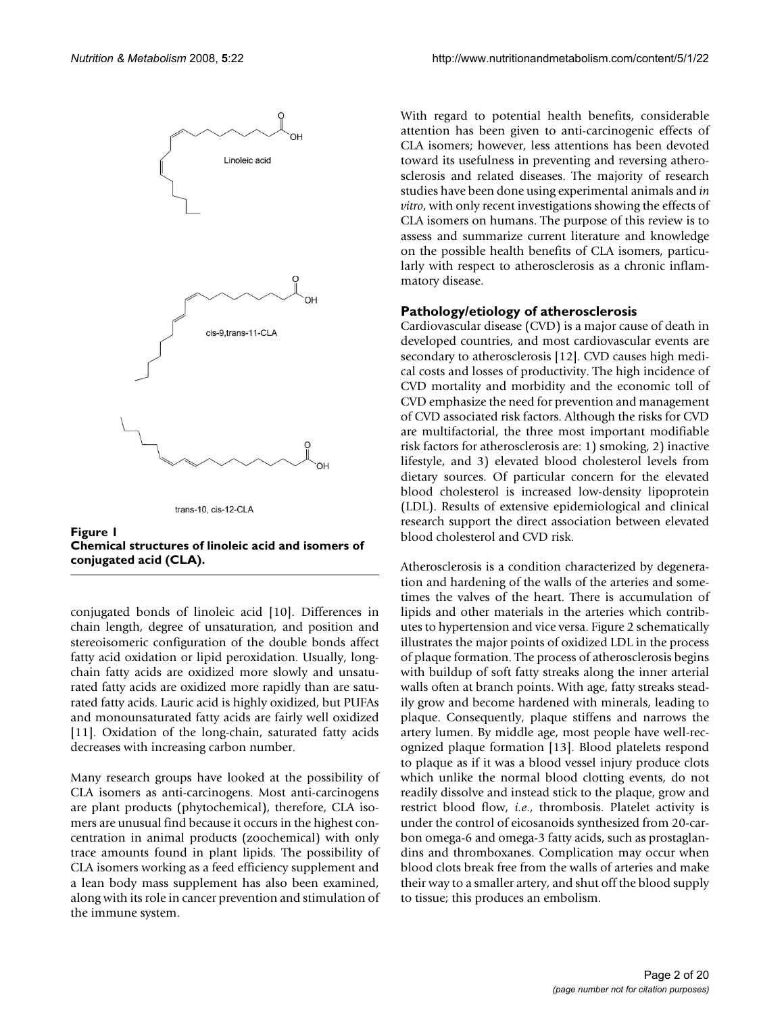



Figure 1 **Chemical structures of linoleic acid and isomers of conjugated acid (CLA).**

conjugated bonds of linoleic acid [10]. Differences in chain length, degree of unsaturation, and position and stereoisomeric configuration of the double bonds affect fatty acid oxidation or lipid peroxidation. Usually, longchain fatty acids are oxidized more slowly and unsaturated fatty acids are oxidized more rapidly than are saturated fatty acids. Lauric acid is highly oxidized, but PUFAs and monounsaturated fatty acids are fairly well oxidized [11]. Oxidation of the long-chain, saturated fatty acids decreases with increasing carbon number.

Many research groups have looked at the possibility of CLA isomers as anti-carcinogens. Most anti-carcinogens are plant products (phytochemical), therefore, CLA isomers are unusual find because it occurs in the highest concentration in animal products (zoochemical) with only trace amounts found in plant lipids. The possibility of CLA isomers working as a feed efficiency supplement and a lean body mass supplement has also been examined, along with its role in cancer prevention and stimulation of the immune system.

With regard to potential health benefits, considerable attention has been given to anti-carcinogenic effects of CLA isomers; however, less attentions has been devoted toward its usefulness in preventing and reversing atherosclerosis and related diseases. The majority of research studies have been done using experimental animals and *in vitro*, with only recent investigations showing the effects of CLA isomers on humans. The purpose of this review is to assess and summarize current literature and knowledge on the possible health benefits of CLA isomers, particularly with respect to atherosclerosis as a chronic inflammatory disease.

## **Pathology/etiology of atherosclerosis**

Cardiovascular disease (CVD) is a major cause of death in developed countries, and most cardiovascular events are secondary to atherosclerosis [12]. CVD causes high medical costs and losses of productivity. The high incidence of CVD mortality and morbidity and the economic toll of CVD emphasize the need for prevention and management of CVD associated risk factors. Although the risks for CVD are multifactorial, the three most important modifiable risk factors for atherosclerosis are: 1) smoking, 2) inactive lifestyle, and 3) elevated blood cholesterol levels from dietary sources. Of particular concern for the elevated blood cholesterol is increased low-density lipoprotein (LDL). Results of extensive epidemiological and clinical research support the direct association between elevated blood cholesterol and CVD risk.

Atherosclerosis is a condition characterized by degeneration and hardening of the walls of the arteries and sometimes the valves of the heart. There is accumulation of lipids and other materials in the arteries which contributes to hypertension and vice versa. Figure 2 schematically illustrates the major points of oxidized LDL in the process of plaque formation. The process of atherosclerosis begins with buildup of soft fatty streaks along the inner arterial walls often at branch points. With age, fatty streaks steadily grow and become hardened with minerals, leading to plaque. Consequently, plaque stiffens and narrows the artery lumen. By middle age, most people have well-recognized plaque formation [13]. Blood platelets respond to plaque as if it was a blood vessel injury produce clots which unlike the normal blood clotting events, do not readily dissolve and instead stick to the plaque, grow and restrict blood flow, *i.e*., thrombosis. Platelet activity is under the control of eicosanoids synthesized from 20-carbon omega-6 and omega-3 fatty acids, such as prostaglandins and thromboxanes. Complication may occur when blood clots break free from the walls of arteries and make their way to a smaller artery, and shut off the blood supply to tissue; this produces an embolism.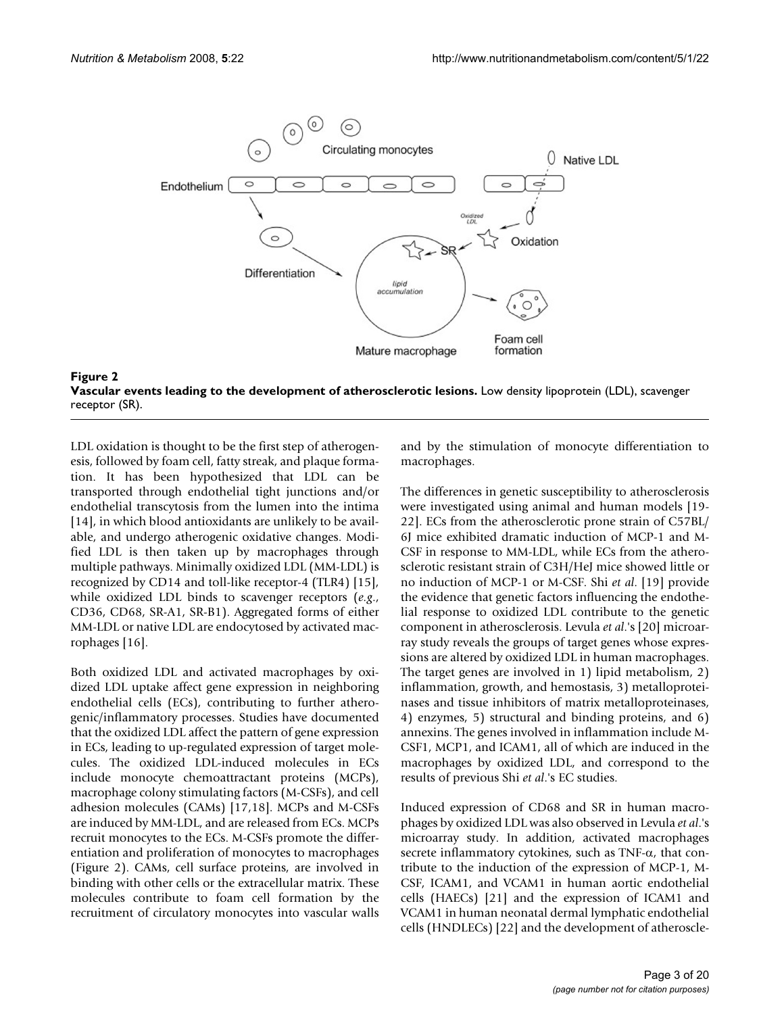



LDL oxidation is thought to be the first step of atherogenesis, followed by foam cell, fatty streak, and plaque formation. It has been hypothesized that LDL can be transported through endothelial tight junctions and/or endothelial transcytosis from the lumen into the intima [14], in which blood antioxidants are unlikely to be available, and undergo atherogenic oxidative changes. Modified LDL is then taken up by macrophages through multiple pathways. Minimally oxidized LDL (MM-LDL) is recognized by CD14 and toll-like receptor-4 (TLR4) [15], while oxidized LDL binds to scavenger receptors (*e.g*., CD36, CD68, SR-A1, SR-B1). Aggregated forms of either MM-LDL or native LDL are endocytosed by activated macrophages [16].

Both oxidized LDL and activated macrophages by oxidized LDL uptake affect gene expression in neighboring endothelial cells (ECs), contributing to further atherogenic/inflammatory processes. Studies have documented that the oxidized LDL affect the pattern of gene expression in ECs, leading to up-regulated expression of target molecules. The oxidized LDL-induced molecules in ECs include monocyte chemoattractant proteins (MCPs), macrophage colony stimulating factors (M-CSFs), and cell adhesion molecules (CAMs) [17,18]. MCPs and M-CSFs are induced by MM-LDL, and are released from ECs. MCPs recruit monocytes to the ECs. M-CSFs promote the differentiation and proliferation of monocytes to macrophages (Figure 2). CAMs, cell surface proteins, are involved in binding with other cells or the extracellular matrix. These molecules contribute to foam cell formation by the recruitment of circulatory monocytes into vascular walls

and by the stimulation of monocyte differentiation to macrophages.

The differences in genetic susceptibility to atherosclerosis were investigated using animal and human models [19- 22]. ECs from the atherosclerotic prone strain of C57BL/ 6J mice exhibited dramatic induction of MCP-1 and M-CSF in response to MM-LDL, while ECs from the atherosclerotic resistant strain of C3H/HeJ mice showed little or no induction of MCP-1 or M-CSF. Shi *et al*. [19] provide the evidence that genetic factors influencing the endothelial response to oxidized LDL contribute to the genetic component in atherosclerosis. Levula *et al*.'s [20] microarray study reveals the groups of target genes whose expressions are altered by oxidized LDL in human macrophages. The target genes are involved in 1) lipid metabolism, 2) inflammation, growth, and hemostasis, 3) metalloproteinases and tissue inhibitors of matrix metalloproteinases, 4) enzymes, 5) structural and binding proteins, and 6) annexins. The genes involved in inflammation include M-CSF1, MCP1, and ICAM1, all of which are induced in the macrophages by oxidized LDL, and correspond to the results of previous Shi *et al*.'s EC studies.

Induced expression of CD68 and SR in human macrophages by oxidized LDL was also observed in Levula *et al*.'s microarray study. In addition, activated macrophages secrete inflammatory cytokines, such as TNF- $\alpha$ , that contribute to the induction of the expression of MCP-1, M-CSF, ICAM1, and VCAM1 in human aortic endothelial cells (HAECs) [21] and the expression of ICAM1 and VCAM1 in human neonatal dermal lymphatic endothelial cells (HNDLECs) [22] and the development of atheroscle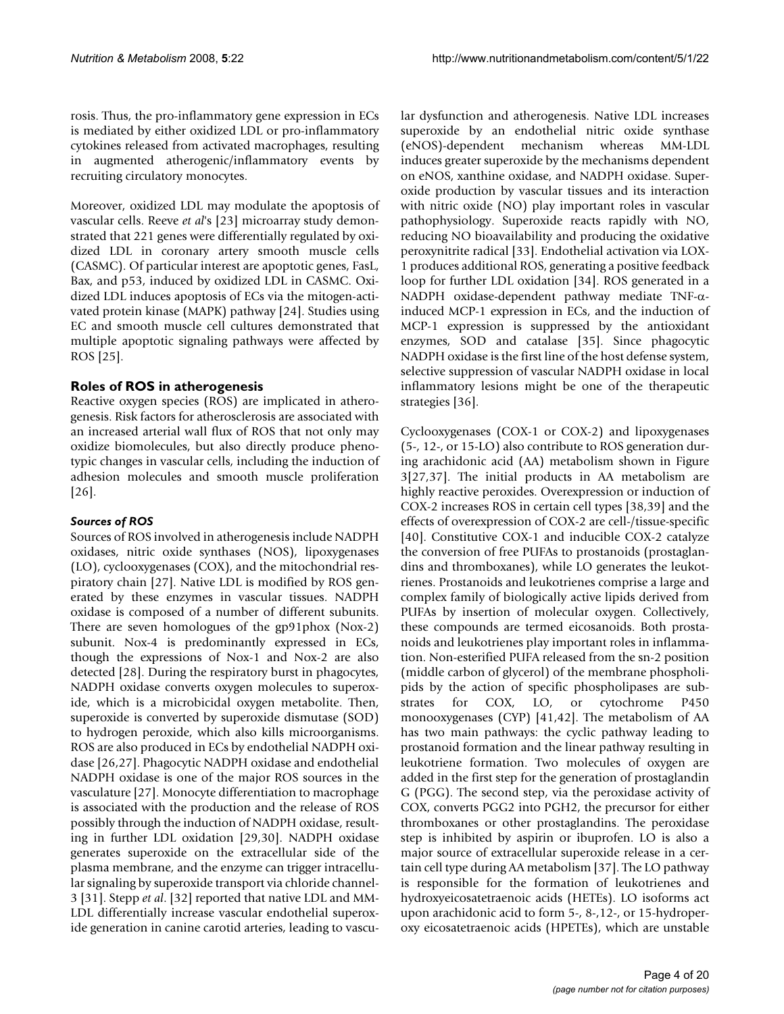rosis. Thus, the pro-inflammatory gene expression in ECs is mediated by either oxidized LDL or pro-inflammatory cytokines released from activated macrophages, resulting in augmented atherogenic/inflammatory events by recruiting circulatory monocytes.

Moreover, oxidized LDL may modulate the apoptosis of vascular cells. Reeve *et al*'s [23] microarray study demonstrated that 221 genes were differentially regulated by oxidized LDL in coronary artery smooth muscle cells (CASMC). Of particular interest are apoptotic genes, FasL, Bax, and p53, induced by oxidized LDL in CASMC. Oxidized LDL induces apoptosis of ECs via the mitogen-activated protein kinase (MAPK) pathway [24]. Studies using EC and smooth muscle cell cultures demonstrated that multiple apoptotic signaling pathways were affected by ROS [25].

# **Roles of ROS in atherogenesis**

Reactive oxygen species (ROS) are implicated in atherogenesis. Risk factors for atherosclerosis are associated with an increased arterial wall flux of ROS that not only may oxidize biomolecules, but also directly produce phenotypic changes in vascular cells, including the induction of adhesion molecules and smooth muscle proliferation [26].

## *Sources of ROS*

Sources of ROS involved in atherogenesis include NADPH oxidases, nitric oxide synthases (NOS), lipoxygenases (LO), cyclooxygenases (COX), and the mitochondrial respiratory chain [27]. Native LDL is modified by ROS generated by these enzymes in vascular tissues. NADPH oxidase is composed of a number of different subunits. There are seven homologues of the gp91phox (Nox-2) subunit. Nox-4 is predominantly expressed in ECs, though the expressions of Nox-1 and Nox-2 are also detected [28]. During the respiratory burst in phagocytes, NADPH oxidase converts oxygen molecules to superoxide, which is a microbicidal oxygen metabolite. Then, superoxide is converted by superoxide dismutase (SOD) to hydrogen peroxide, which also kills microorganisms. ROS are also produced in ECs by endothelial NADPH oxidase [26,27]. Phagocytic NADPH oxidase and endothelial NADPH oxidase is one of the major ROS sources in the vasculature [27]. Monocyte differentiation to macrophage is associated with the production and the release of ROS possibly through the induction of NADPH oxidase, resulting in further LDL oxidation [29,30]. NADPH oxidase generates superoxide on the extracellular side of the plasma membrane, and the enzyme can trigger intracellular signaling by superoxide transport via chloride channel-3 [31]. Stepp *et al*. [32] reported that native LDL and MM-LDL differentially increase vascular endothelial superoxide generation in canine carotid arteries, leading to vascular dysfunction and atherogenesis. Native LDL increases superoxide by an endothelial nitric oxide synthase (eNOS)-dependent mechanism whereas MM-LDL induces greater superoxide by the mechanisms dependent on eNOS, xanthine oxidase, and NADPH oxidase. Superoxide production by vascular tissues and its interaction with nitric oxide (NO) play important roles in vascular pathophysiology. Superoxide reacts rapidly with NO, reducing NO bioavailability and producing the oxidative peroxynitrite radical [33]. Endothelial activation via LOX-1 produces additional ROS, generating a positive feedback loop for further LDL oxidation [34]. ROS generated in a NADPH oxidase-dependent pathway mediate TNF-αinduced MCP-1 expression in ECs, and the induction of MCP-1 expression is suppressed by the antioxidant enzymes, SOD and catalase [35]. Since phagocytic NADPH oxidase is the first line of the host defense system, selective suppression of vascular NADPH oxidase in local inflammatory lesions might be one of the therapeutic strategies [36].

Cyclooxygenases (COX-1 or COX-2) and lipoxygenases (5-, 12-, or 15-LO) also contribute to ROS generation during arachidonic acid (AA) metabolism shown in Figure 3[27,37]. The initial products in AA metabolism are highly reactive peroxides. Overexpression or induction of COX-2 increases ROS in certain cell types [38,39] and the effects of overexpression of COX-2 are cell-/tissue-specific [40]. Constitutive COX-1 and inducible COX-2 catalyze the conversion of free PUFAs to prostanoids (prostaglandins and thromboxanes), while LO generates the leukotrienes. Prostanoids and leukotrienes comprise a large and complex family of biologically active lipids derived from PUFAs by insertion of molecular oxygen. Collectively, these compounds are termed eicosanoids. Both prostanoids and leukotrienes play important roles in inflammation. Non-esterified PUFA released from the sn-2 position (middle carbon of glycerol) of the membrane phospholipids by the action of specific phospholipases are substrates for COX, LO, or cytochrome P450 monooxygenases (CYP) [41,42]. The metabolism of AA has two main pathways: the cyclic pathway leading to prostanoid formation and the linear pathway resulting in leukotriene formation. Two molecules of oxygen are added in the first step for the generation of prostaglandin G (PGG). The second step, via the peroxidase activity of COX, converts PGG2 into PGH2, the precursor for either thromboxanes or other prostaglandins. The peroxidase step is inhibited by aspirin or ibuprofen. LO is also a major source of extracellular superoxide release in a certain cell type during AA metabolism [37]. The LO pathway is responsible for the formation of leukotrienes and hydroxyeicosatetraenoic acids (HETEs). LO isoforms act upon arachidonic acid to form 5-, 8-,12-, or 15-hydroperoxy eicosatetraenoic acids (HPETEs), which are unstable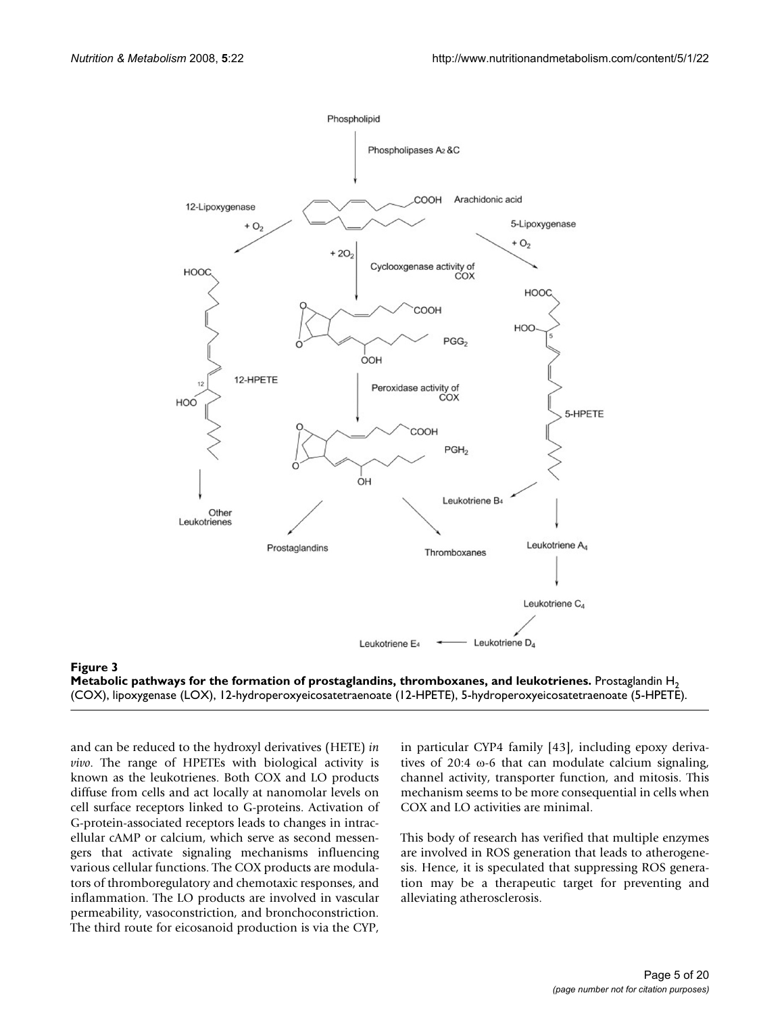



and can be reduced to the hydroxyl derivatives (HETE) *in vivo*. The range of HPETEs with biological activity is known as the leukotrienes. Both COX and LO products diffuse from cells and act locally at nanomolar levels on cell surface receptors linked to G-proteins. Activation of G-protein-associated receptors leads to changes in intracellular cAMP or calcium, which serve as second messengers that activate signaling mechanisms influencing various cellular functions. The COX products are modulators of thromboregulatory and chemotaxic responses, and inflammation. The LO products are involved in vascular permeability, vasoconstriction, and bronchoconstriction. The third route for eicosanoid production is via the CYP,

in particular CYP4 family [43], including epoxy derivatives of 20:4 ω-6 that can modulate calcium signaling, channel activity, transporter function, and mitosis. This mechanism seems to be more consequential in cells when COX and LO activities are minimal.

This body of research has verified that multiple enzymes are involved in ROS generation that leads to atherogenesis. Hence, it is speculated that suppressing ROS generation may be a therapeutic target for preventing and alleviating atherosclerosis.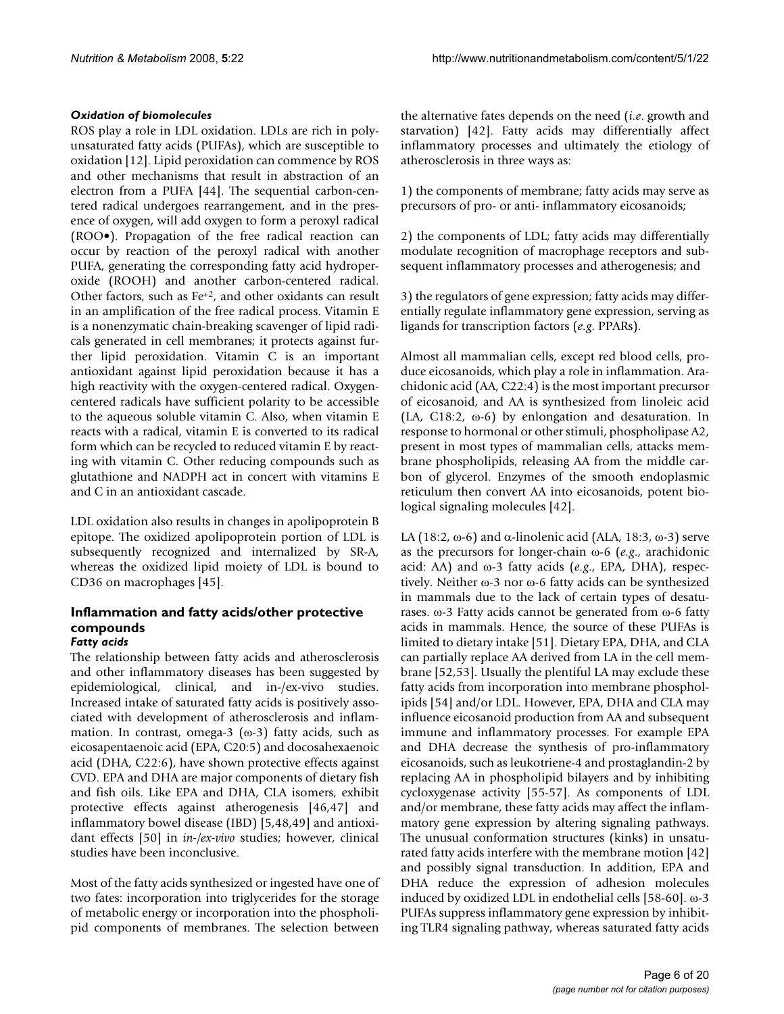## *Oxidation of biomolecules*

ROS play a role in LDL oxidation. LDLs are rich in polyunsaturated fatty acids (PUFAs), which are susceptible to oxidation [12]. Lipid peroxidation can commence by ROS and other mechanisms that result in abstraction of an electron from a PUFA [44]. The sequential carbon-centered radical undergoes rearrangement, and in the presence of oxygen, will add oxygen to form a peroxyl radical (ROO•). Propagation of the free radical reaction can occur by reaction of the peroxyl radical with another PUFA, generating the corresponding fatty acid hydroperoxide (ROOH) and another carbon-centered radical. Other factors, such as Fe+2, and other oxidants can result in an amplification of the free radical process. Vitamin E is a nonenzymatic chain-breaking scavenger of lipid radicals generated in cell membranes; it protects against further lipid peroxidation. Vitamin C is an important antioxidant against lipid peroxidation because it has a high reactivity with the oxygen-centered radical. Oxygencentered radicals have sufficient polarity to be accessible to the aqueous soluble vitamin C. Also, when vitamin E reacts with a radical, vitamin E is converted to its radical form which can be recycled to reduced vitamin E by reacting with vitamin C. Other reducing compounds such as glutathione and NADPH act in concert with vitamins E and C in an antioxidant cascade.

LDL oxidation also results in changes in apolipoprotein B epitope. The oxidized apolipoprotein portion of LDL is subsequently recognized and internalized by SR-A, whereas the oxidized lipid moiety of LDL is bound to CD36 on macrophages [45].

## **Inflammation and fatty acids/other protective compounds** *Fatty acids*

The relationship between fatty acids and atherosclerosis and other inflammatory diseases has been suggested by epidemiological, clinical, and in-/ex-vivo studies. Increased intake of saturated fatty acids is positively associated with development of atherosclerosis and inflammation. In contrast, omega-3 (ω-3) fatty acids, such as eicosapentaenoic acid (EPA, C20:5) and docosahexaenoic acid (DHA, C22:6), have shown protective effects against CVD. EPA and DHA are major components of dietary fish and fish oils. Like EPA and DHA, CLA isomers, exhibit protective effects against atherogenesis [46,47] and inflammatory bowel disease (IBD) [5,48,49] and antioxidant effects [50] in *in-/ex-vivo* studies; however, clinical studies have been inconclusive.

Most of the fatty acids synthesized or ingested have one of two fates: incorporation into triglycerides for the storage of metabolic energy or incorporation into the phospholipid components of membranes. The selection between

the alternative fates depends on the need (*i.e*. growth and starvation) [42]. Fatty acids may differentially affect inflammatory processes and ultimately the etiology of atherosclerosis in three ways as:

1) the components of membrane; fatty acids may serve as precursors of pro- or anti- inflammatory eicosanoids;

2) the components of LDL; fatty acids may differentially modulate recognition of macrophage receptors and subsequent inflammatory processes and atherogenesis; and

3) the regulators of gene expression; fatty acids may differentially regulate inflammatory gene expression, serving as ligands for transcription factors (*e.g*. PPARs).

Almost all mammalian cells, except red blood cells, produce eicosanoids, which play a role in inflammation. Arachidonic acid (AA, C22:4) is the most important precursor of eicosanoid, and AA is synthesized from linoleic acid (LA, C18:2, ω-6) by enlongation and desaturation. In response to hormonal or other stimuli, phospholipase A2, present in most types of mammalian cells, attacks membrane phospholipids, releasing AA from the middle carbon of glycerol. Enzymes of the smooth endoplasmic reticulum then convert AA into eicosanoids, potent biological signaling molecules [42].

LA (18:2,  $\omega$ -6) and  $\alpha$ -linolenic acid (ALA, 18:3,  $\omega$ -3) serve as the precursors for longer-chain ω-6 (*e.g*., arachidonic acid: AA) and ω-3 fatty acids (*e.g*., EPA, DHA), respectively. Neither ω-3 nor ω-6 fatty acids can be synthesized in mammals due to the lack of certain types of desaturases. ω-3 Fatty acids cannot be generated from ω-6 fatty acids in mammals. Hence, the source of these PUFAs is limited to dietary intake [51]. Dietary EPA, DHA, and CLA can partially replace AA derived from LA in the cell membrane [52,53]. Usually the plentiful LA may exclude these fatty acids from incorporation into membrane phospholipids [54] and/or LDL. However, EPA, DHA and CLA may influence eicosanoid production from AA and subsequent immune and inflammatory processes. For example EPA and DHA decrease the synthesis of pro-inflammatory eicosanoids, such as leukotriene-4 and prostaglandin-2 by replacing AA in phospholipid bilayers and by inhibiting cycloxygenase activity [55-57]. As components of LDL and/or membrane, these fatty acids may affect the inflammatory gene expression by altering signaling pathways. The unusual conformation structures (kinks) in unsaturated fatty acids interfere with the membrane motion [42] and possibly signal transduction. In addition, EPA and DHA reduce the expression of adhesion molecules induced by oxidized LDL in endothelial cells [58-60]. ω-3 PUFAs suppress inflammatory gene expression by inhibiting TLR4 signaling pathway, whereas saturated fatty acids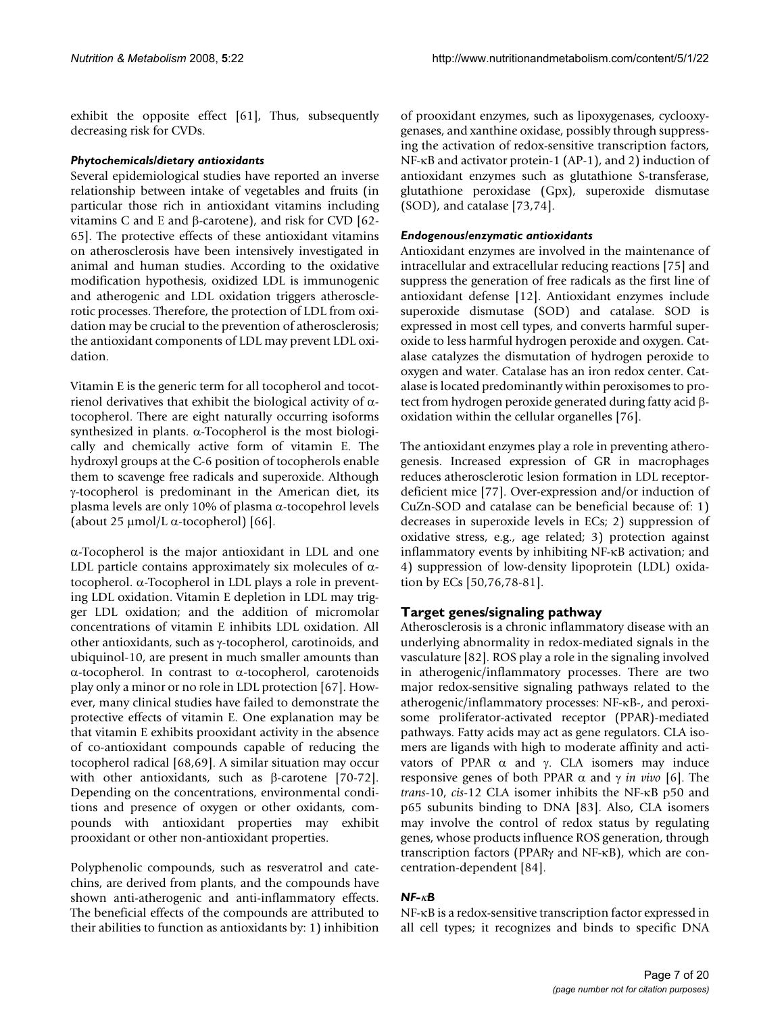exhibit the opposite effect [61], Thus, subsequently decreasing risk for CVDs.

## *Phytochemicals/dietary antioxidants*

Several epidemiological studies have reported an inverse relationship between intake of vegetables and fruits (in particular those rich in antioxidant vitamins including vitamins C and E and β-carotene), and risk for CVD [62- 65]. The protective effects of these antioxidant vitamins on atherosclerosis have been intensively investigated in animal and human studies. According to the oxidative modification hypothesis, oxidized LDL is immunogenic and atherogenic and LDL oxidation triggers atherosclerotic processes. Therefore, the protection of LDL from oxidation may be crucial to the prevention of atherosclerosis; the antioxidant components of LDL may prevent LDL oxidation.

Vitamin E is the generic term for all tocopherol and tocotrienol derivatives that exhibit the biological activity of  $\alpha$ tocopherol. There are eight naturally occurring isoforms synthesized in plants. α-Tocopherol is the most biologically and chemically active form of vitamin E. The hydroxyl groups at the C-6 position of tocopherols enable them to scavenge free radicals and superoxide. Although γ-tocopherol is predominant in the American diet, its plasma levels are only 10% of plasma α-tocopehrol levels (about 25  $\mu$ mol/L  $\alpha$ -tocopherol) [66].

α-Tocopherol is the major antioxidant in LDL and one LDL particle contains approximately six molecules of  $\alpha$ tocopherol. α-Tocopherol in LDL plays a role in preventing LDL oxidation. Vitamin E depletion in LDL may trigger LDL oxidation; and the addition of micromolar concentrations of vitamin E inhibits LDL oxidation. All other antioxidants, such as γ-tocopherol, carotinoids, and ubiquinol-10, are present in much smaller amounts than α-tocopherol. In contrast to α-tocopherol, carotenoids play only a minor or no role in LDL protection [67]. However, many clinical studies have failed to demonstrate the protective effects of vitamin E. One explanation may be that vitamin E exhibits prooxidant activity in the absence of co-antioxidant compounds capable of reducing the tocopherol radical [68,69]. A similar situation may occur with other antioxidants, such as β-carotene [70-72]. Depending on the concentrations, environmental conditions and presence of oxygen or other oxidants, compounds with antioxidant properties may exhibit prooxidant or other non-antioxidant properties.

Polyphenolic compounds, such as resveratrol and catechins, are derived from plants, and the compounds have shown anti-atherogenic and anti-inflammatory effects. The beneficial effects of the compounds are attributed to their abilities to function as antioxidants by: 1) inhibition

of prooxidant enzymes, such as lipoxygenases, cyclooxygenases, and xanthine oxidase, possibly through suppressing the activation of redox-sensitive transcription factors, NF-κB and activator protein-1 (AP-1), and 2) induction of antioxidant enzymes such as glutathione S-transferase, glutathione peroxidase (Gpx), superoxide dismutase (SOD), and catalase [73,74].

## *Endogenous/enzymatic antioxidants*

Antioxidant enzymes are involved in the maintenance of intracellular and extracellular reducing reactions [75] and suppress the generation of free radicals as the first line of antioxidant defense [12]. Antioxidant enzymes include superoxide dismutase (SOD) and catalase. SOD is expressed in most cell types, and converts harmful superoxide to less harmful hydrogen peroxide and oxygen. Catalase catalyzes the dismutation of hydrogen peroxide to oxygen and water. Catalase has an iron redox center. Catalase is located predominantly within peroxisomes to protect from hydrogen peroxide generated during fatty acid βoxidation within the cellular organelles [76].

The antioxidant enzymes play a role in preventing atherogenesis. Increased expression of GR in macrophages reduces atherosclerotic lesion formation in LDL receptordeficient mice [77]. Over-expression and/or induction of CuZn-SOD and catalase can be beneficial because of: 1) decreases in superoxide levels in ECs; 2) suppression of oxidative stress, e.g., age related; 3) protection against inflammatory events by inhibiting NF-κB activation; and 4) suppression of low-density lipoprotein (LDL) oxidation by ECs [50,76,78-81].

## **Target genes/signaling pathway**

Atherosclerosis is a chronic inflammatory disease with an underlying abnormality in redox-mediated signals in the vasculature [82]. ROS play a role in the signaling involved in atherogenic/inflammatory processes. There are two major redox-sensitive signaling pathways related to the atherogenic/inflammatory processes: NF-κB-, and peroxisome proliferator-activated receptor (PPAR)-mediated pathways. Fatty acids may act as gene regulators. CLA isomers are ligands with high to moderate affinity and activators of PPAR  $\alpha$  and γ. CLA isomers may induce responsive genes of both PPAR α and γ *in vivo* [6]. The *trans*-10, *cis*-12 CLA isomer inhibits the NF-κB p50 and p65 subunits binding to DNA [83]. Also, CLA isomers may involve the control of redox status by regulating genes, whose products influence ROS generation, through transcription factors (PPARγ and NF-κB), which are concentration-dependent [84].

## *NF-*κ*B*

NF-κB is a redox-sensitive transcription factor expressed in all cell types; it recognizes and binds to specific DNA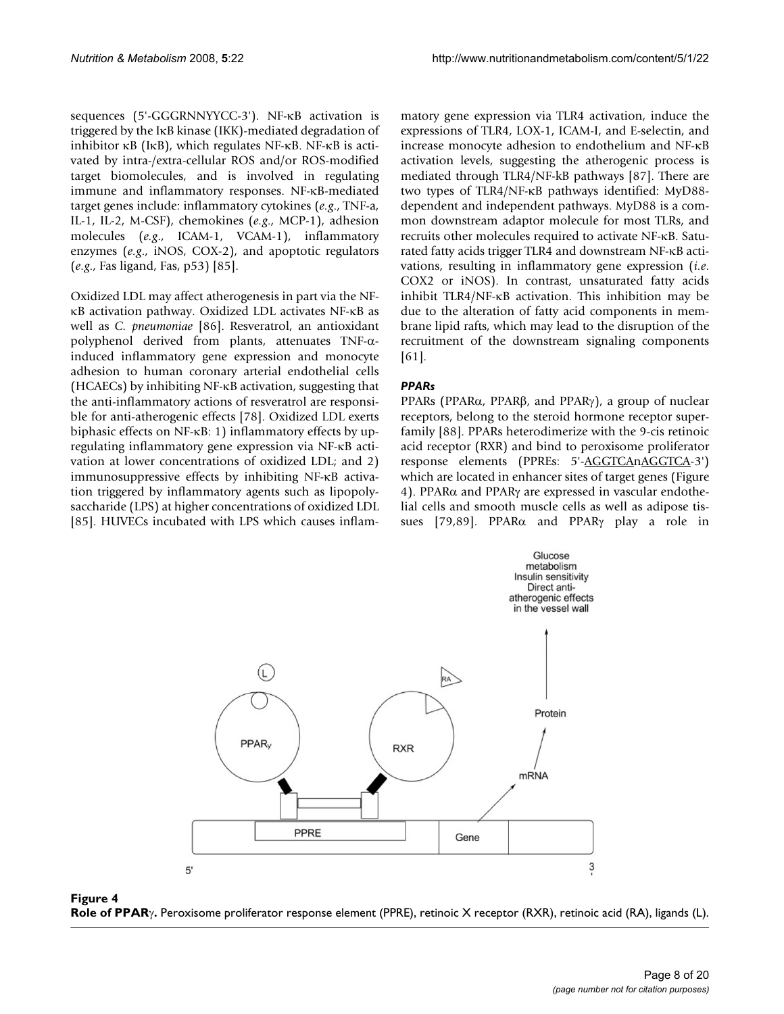sequences (5'-GGGRNNYYCC-3'). NF-κB activation is triggered by the IκB kinase (IKK)-mediated degradation of inhibitor κB (IκB), which regulates NF-κB. NF-κB is activated by intra-/extra-cellular ROS and/or ROS-modified target biomolecules, and is involved in regulating immune and inflammatory responses. NF-κB-mediated target genes include: inflammatory cytokines (*e.g*., TNF-a, IL-1, IL-2, M-CSF), chemokines (*e.g*., MCP-1), adhesion molecules (*e.g*., ICAM-1, VCAM-1), inflammatory enzymes (*e.g*., iNOS, COX-2), and apoptotic regulators (*e.g*., Fas ligand, Fas, p53) [85].

Oxidized LDL may affect atherogenesis in part via the NFκB activation pathway. Oxidized LDL activates NF-κB as well as *C. pneumoniae* [86]. Resveratrol, an antioxidant polyphenol derived from plants, attenuates TNF-αinduced inflammatory gene expression and monocyte adhesion to human coronary arterial endothelial cells (HCAECs) by inhibiting NF-κB activation, suggesting that the anti-inflammatory actions of resveratrol are responsible for anti-atherogenic effects [78]. Oxidized LDL exerts biphasic effects on NF-κB: 1) inflammatory effects by upregulating inflammatory gene expression via NF-κB activation at lower concentrations of oxidized LDL; and 2) immunosuppressive effects by inhibiting NF-κB activation triggered by inflammatory agents such as lipopolysaccharide (LPS) at higher concentrations of oxidized LDL [85]. HUVECs incubated with LPS which causes inflammatory gene expression via TLR4 activation, induce the expressions of TLR4, LOX-1, ICAM-I, and E-selectin, and increase monocyte adhesion to endothelium and NF-κB activation levels, suggesting the atherogenic process is mediated through TLR4/NF-kB pathways [87]. There are two types of TLR4/NF-κB pathways identified: MyD88 dependent and independent pathways. MyD88 is a common downstream adaptor molecule for most TLRs, and recruits other molecules required to activate NF-κB. Saturated fatty acids trigger TLR4 and downstream NF-κB activations, resulting in inflammatory gene expression (*i.e*. COX2 or iNOS). In contrast, unsaturated fatty acids inhibit TLR4/NF-κB activation. This inhibition may be due to the alteration of fatty acid components in membrane lipid rafts, which may lead to the disruption of the recruitment of the downstream signaling components [61].

## *PPARs*

PPARs (PPARα, PPARβ, and PPARγ), a group of nuclear receptors, belong to the steroid hormone receptor superfamily [88]. PPARs heterodimerize with the 9-cis retinoic acid receptor (RXR) and bind to peroxisome proliferator response elements (PPREs: 5'-AGGTCAnAGGTCA-3') which are located in enhancer sites of target genes (Figure 4). PPARα and PPARγ are expressed in vascular endothelial cells and smooth muscle cells as well as adipose tissues [79,89]. PPARα and PPARγ play a role in



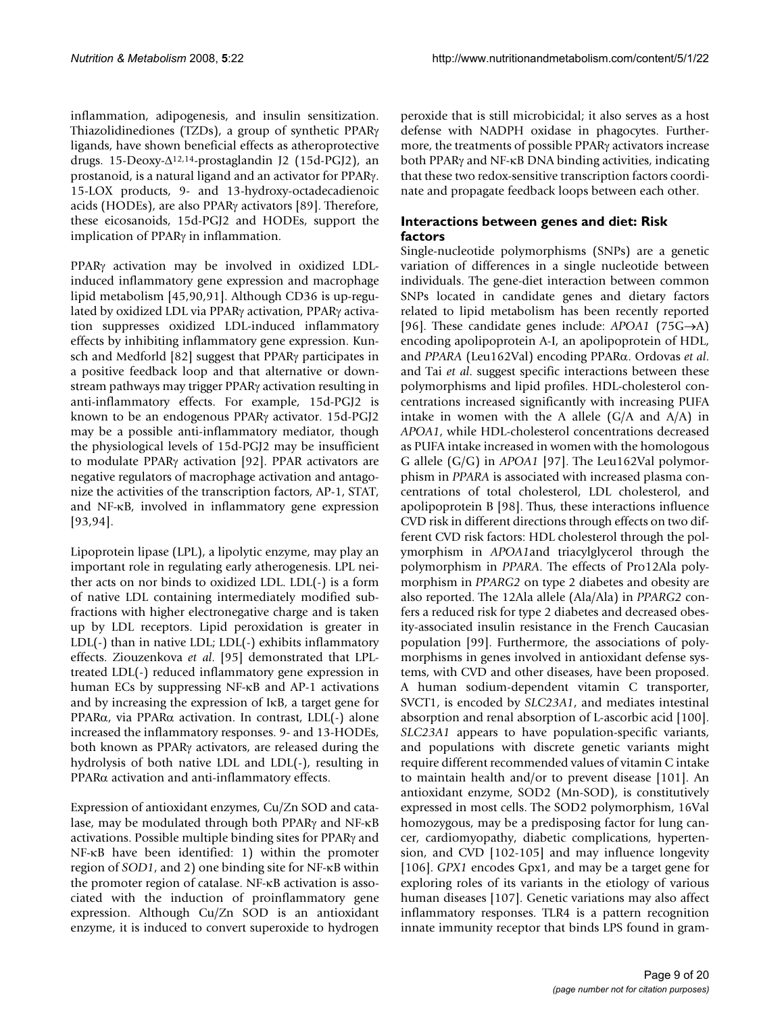inflammation, adipogenesis, and insulin sensitization. Thiazolidinediones (TZDs), a group of synthetic PPARγ ligands, have shown beneficial effects as atheroprotective drugs. 15-Deoxy-Δ12,14-prostaglandin J2 (15d-PGJ2), an prostanoid, is a natural ligand and an activator for PPARγ. 15-LOX products, 9- and 13-hydroxy-octadecadienoic acids (HODEs), are also PPARγ activators [89]. Therefore, these eicosanoids, 15d-PGJ2 and HODEs, support the implication of PPARγ in inflammation.

PPARγ activation may be involved in oxidized LDLinduced inflammatory gene expression and macrophage lipid metabolism [45,90,91]. Although CD36 is up-regulated by oxidized LDL via PPARγ activation, PPARγ activation suppresses oxidized LDL-induced inflammatory effects by inhibiting inflammatory gene expression. Kunsch and Medforld [82] suggest that PPARγ participates in a positive feedback loop and that alternative or downstream pathways may trigger PPARγ activation resulting in anti-inflammatory effects. For example, 15d-PGJ2 is known to be an endogenous PPARγ activator. 15d-PGJ2 may be a possible anti-inflammatory mediator, though the physiological levels of 15d-PGJ2 may be insufficient to modulate PPARγ activation [92]. PPAR activators are negative regulators of macrophage activation and antagonize the activities of the transcription factors, AP-1, STAT, and NF-κB, involved in inflammatory gene expression [93,94].

Lipoprotein lipase (LPL), a lipolytic enzyme, may play an important role in regulating early atherogenesis. LPL neither acts on nor binds to oxidized LDL. LDL(-) is a form of native LDL containing intermediately modified subfractions with higher electronegative charge and is taken up by LDL receptors. Lipid peroxidation is greater in LDL(-) than in native LDL; LDL(-) exhibits inflammatory effects. Ziouzenkova *et al*. [95] demonstrated that LPLtreated LDL(-) reduced inflammatory gene expression in human ECs by suppressing NF-κB and AP-1 activations and by increasing the expression of IκB, a target gene for PPARα, via PPARα activation. In contrast, LDL(-) alone increased the inflammatory responses. 9- and 13-HODEs, both known as PPARγ activators, are released during the hydrolysis of both native LDL and LDL(-), resulting in PPARα activation and anti-inflammatory effects.

Expression of antioxidant enzymes, Cu/Zn SOD and catalase, may be modulated through both PPARγ and NF-κB activations. Possible multiple binding sites for PPARγ and NF-κB have been identified: 1) within the promoter region of *SOD1*, and 2) one binding site for NF-κB within the promoter region of catalase. NF-κB activation is associated with the induction of proinflammatory gene expression. Although Cu/Zn SOD is an antioxidant enzyme, it is induced to convert superoxide to hydrogen

peroxide that is still microbicidal; it also serves as a host defense with NADPH oxidase in phagocytes. Furthermore, the treatments of possible PPARγ activators increase both PPARγ and NF-κB DNA binding activities, indicating that these two redox-sensitive transcription factors coordinate and propagate feedback loops between each other.

# **Interactions between genes and diet: Risk factors**

Single-nucleotide polymorphisms (SNPs) are a genetic variation of differences in a single nucleotide between individuals. The gene-diet interaction between common SNPs located in candidate genes and dietary factors related to lipid metabolism has been recently reported [96]. These candidate genes include: *APOA1* (75G→A) encoding apolipoprotein A-I, an apolipoprotein of HDL, and *PPARA* (Leu162Val) encoding PPARα. Ordovas *et al*. and Tai *et al*. suggest specific interactions between these polymorphisms and lipid profiles. HDL-cholesterol concentrations increased significantly with increasing PUFA intake in women with the A allele  $(G/A$  and  $A/A$ ) in *APOA1*, while HDL-cholesterol concentrations decreased as PUFA intake increased in women with the homologous G allele (G/G) in *APOA1* [97]. The Leu162Val polymorphism in *PPARA* is associated with increased plasma concentrations of total cholesterol, LDL cholesterol, and apolipoprotein B [98]. Thus, these interactions influence CVD risk in different directions through effects on two different CVD risk factors: HDL cholesterol through the polymorphism in *APOA1*and triacylglycerol through the polymorphism in *PPARA*. The effects of Pro12Ala polymorphism in *PPARG2* on type 2 diabetes and obesity are also reported. The 12Ala allele (Ala/Ala) in *PPARG2* confers a reduced risk for type 2 diabetes and decreased obesity-associated insulin resistance in the French Caucasian population [99]. Furthermore, the associations of polymorphisms in genes involved in antioxidant defense systems, with CVD and other diseases, have been proposed. A human sodium-dependent vitamin C transporter, SVCT1, is encoded by *SLC23A1*, and mediates intestinal absorption and renal absorption of L-ascorbic acid [100]. *SLC23A1* appears to have population-specific variants, and populations with discrete genetic variants might require different recommended values of vitamin C intake to maintain health and/or to prevent disease [101]. An antioxidant enzyme, SOD2 (Mn-SOD), is constitutively expressed in most cells. The SOD2 polymorphism, 16Val homozygous, may be a predisposing factor for lung cancer, cardiomyopathy, diabetic complications, hypertension, and CVD [102-105] and may influence longevity [106]. *GPX1* encodes Gpx1, and may be a target gene for exploring roles of its variants in the etiology of various human diseases [107]. Genetic variations may also affect inflammatory responses. TLR4 is a pattern recognition innate immunity receptor that binds LPS found in gram-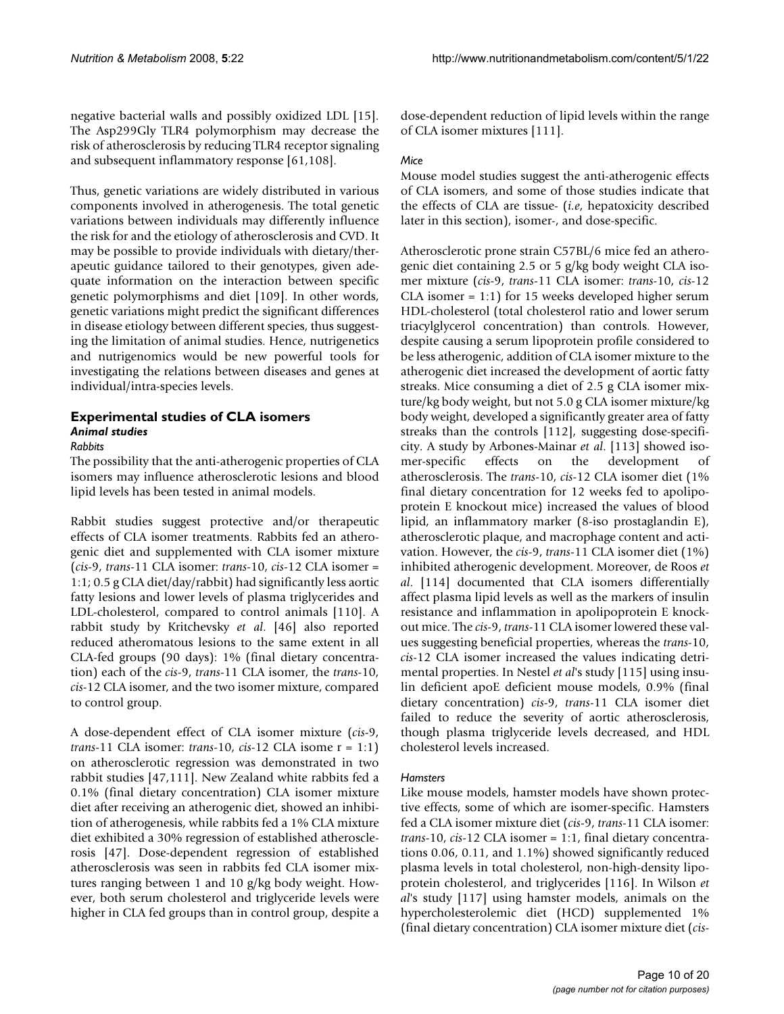negative bacterial walls and possibly oxidized LDL [15]. The Asp299Gly TLR4 polymorphism may decrease the risk of atherosclerosis by reducing TLR4 receptor signaling and subsequent inflammatory response [61,108].

Thus, genetic variations are widely distributed in various components involved in atherogenesis. The total genetic variations between individuals may differently influence the risk for and the etiology of atherosclerosis and CVD. It may be possible to provide individuals with dietary/therapeutic guidance tailored to their genotypes, given adequate information on the interaction between specific genetic polymorphisms and diet [109]. In other words, genetic variations might predict the significant differences in disease etiology between different species, thus suggesting the limitation of animal studies. Hence, nutrigenetics and nutrigenomics would be new powerful tools for investigating the relations between diseases and genes at individual/intra-species levels.

#### **Experimental studies of CLA isomers** *Animal studies*

# *Rabbits*

The possibility that the anti-atherogenic properties of CLA isomers may influence atherosclerotic lesions and blood lipid levels has been tested in animal models.

Rabbit studies suggest protective and/or therapeutic effects of CLA isomer treatments. Rabbits fed an atherogenic diet and supplemented with CLA isomer mixture (*cis*-9, *trans*-11 CLA isomer: *trans*-10, *cis*-12 CLA isomer = 1:1; 0.5 g CLA diet/day/rabbit) had significantly less aortic fatty lesions and lower levels of plasma triglycerides and LDL-cholesterol, compared to control animals [110]. A rabbit study by Kritchevsky *et al*. [46] also reported reduced atheromatous lesions to the same extent in all CLA-fed groups (90 days): 1% (final dietary concentration) each of the *cis*-9, *trans*-11 CLA isomer, the *trans*-10, *cis*-12 CLA isomer, and the two isomer mixture, compared to control group.

A dose-dependent effect of CLA isomer mixture (*cis*-9, *trans*-11 CLA isomer: *trans*-10, *cis*-12 CLA isome r = 1:1) on atherosclerotic regression was demonstrated in two rabbit studies [47,111]. New Zealand white rabbits fed a 0.1% (final dietary concentration) CLA isomer mixture diet after receiving an atherogenic diet, showed an inhibition of atherogenesis, while rabbits fed a 1% CLA mixture diet exhibited a 30% regression of established atherosclerosis [47]. Dose-dependent regression of established atherosclerosis was seen in rabbits fed CLA isomer mixtures ranging between 1 and 10 g/kg body weight. However, both serum cholesterol and triglyceride levels were higher in CLA fed groups than in control group, despite a

dose-dependent reduction of lipid levels within the range of CLA isomer mixtures [111].

## *Mice*

Mouse model studies suggest the anti-atherogenic effects of CLA isomers, and some of those studies indicate that the effects of CLA are tissue- (*i.e*, hepatoxicity described later in this section), isomer-, and dose-specific.

Atherosclerotic prone strain C57BL/6 mice fed an atherogenic diet containing 2.5 or 5 g/kg body weight CLA isomer mixture (*cis*-9, *trans*-11 CLA isomer: *trans*-10, *cis*-12 CLA isomer = 1:1) for 15 weeks developed higher serum HDL-cholesterol (total cholesterol ratio and lower serum triacylglycerol concentration) than controls. However, despite causing a serum lipoprotein profile considered to be less atherogenic, addition of CLA isomer mixture to the atherogenic diet increased the development of aortic fatty streaks. Mice consuming a diet of 2.5 g CLA isomer mixture/kg body weight, but not 5.0 g CLA isomer mixture/kg body weight, developed a significantly greater area of fatty streaks than the controls [112], suggesting dose-specificity. A study by Arbones-Mainar *et al*. [113] showed isomer-specific effects on the development of atherosclerosis. The *trans*-10, *cis*-12 CLA isomer diet (1% final dietary concentration for 12 weeks fed to apolipoprotein E knockout mice) increased the values of blood lipid, an inflammatory marker (8-iso prostaglandin E), atherosclerotic plaque, and macrophage content and activation. However, the *cis*-9, *trans*-11 CLA isomer diet (1%) inhibited atherogenic development. Moreover, de Roos *et al*. [114] documented that CLA isomers differentially affect plasma lipid levels as well as the markers of insulin resistance and inflammation in apolipoprotein E knockout mice. The *cis*-9, *trans*-11 CLA isomer lowered these values suggesting beneficial properties, whereas the *trans*-10, *cis*-12 CLA isomer increased the values indicating detrimental properties. In Nestel *et al*'s study [115] using insulin deficient apoE deficient mouse models, 0.9% (final dietary concentration) *cis*-9, *trans*-11 CLA isomer diet failed to reduce the severity of aortic atherosclerosis, though plasma triglyceride levels decreased, and HDL cholesterol levels increased.

## *Hamsters*

Like mouse models, hamster models have shown protective effects, some of which are isomer-specific. Hamsters fed a CLA isomer mixture diet (*cis*-9, *trans*-11 CLA isomer: *trans*-10, *cis*-12 CLA isomer = 1:1, final dietary concentrations 0.06, 0.11, and 1.1%) showed significantly reduced plasma levels in total cholesterol, non-high-density lipoprotein cholesterol, and triglycerides [116]. In Wilson *et al*'s study [117] using hamster models, animals on the hypercholesterolemic diet (HCD) supplemented 1% (final dietary concentration) CLA isomer mixture diet (*cis*-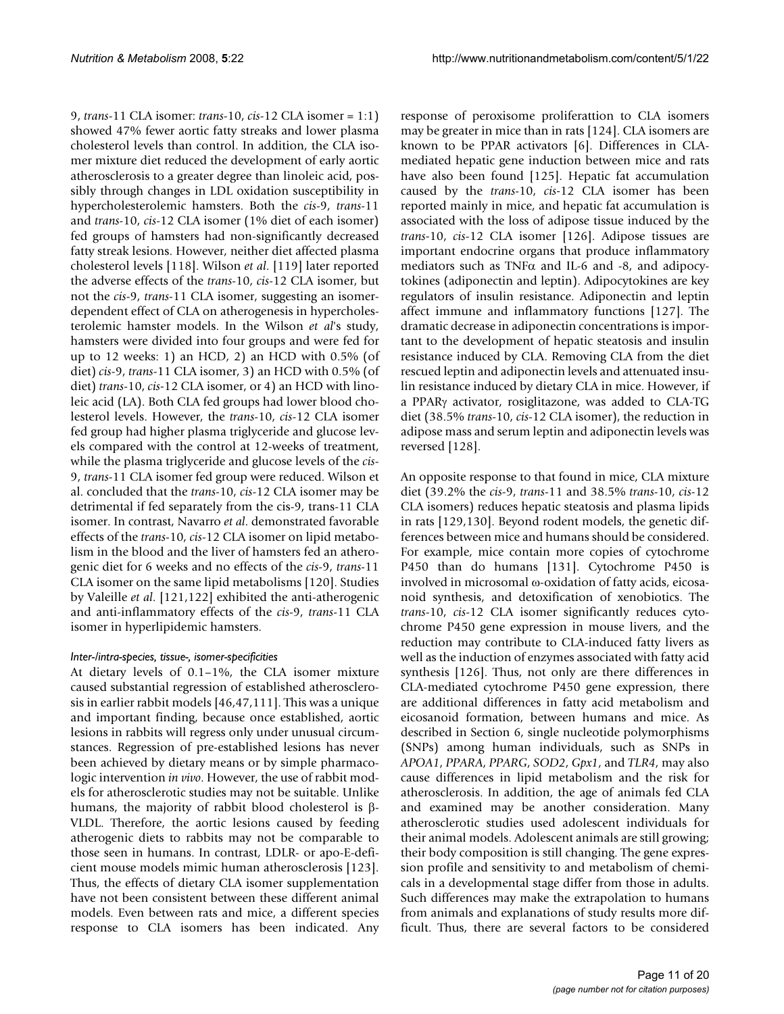9, *trans*-11 CLA isomer: *trans*-10, *cis*-12 CLA isomer = 1:1) showed 47% fewer aortic fatty streaks and lower plasma cholesterol levels than control. In addition, the CLA isomer mixture diet reduced the development of early aortic atherosclerosis to a greater degree than linoleic acid, possibly through changes in LDL oxidation susceptibility in hypercholesterolemic hamsters. Both the *cis*-9, *trans*-11 and *trans*-10, *cis*-12 CLA isomer (1% diet of each isomer) fed groups of hamsters had non-significantly decreased fatty streak lesions. However, neither diet affected plasma cholesterol levels [118]. Wilson *et al*. [119] later reported the adverse effects of the *trans*-10, *cis*-12 CLA isomer, but not the *cis*-9, *trans*-11 CLA isomer, suggesting an isomerdependent effect of CLA on atherogenesis in hypercholesterolemic hamster models. In the Wilson *et al*'s study, hamsters were divided into four groups and were fed for up to 12 weeks: 1) an HCD, 2) an HCD with 0.5% (of diet) *cis*-9, *trans*-11 CLA isomer, 3) an HCD with 0.5% (of diet) *trans*-10, *cis-*12 CLA isomer, or 4) an HCD with linoleic acid (LA). Both CLA fed groups had lower blood cholesterol levels. However, the *trans*-10, *cis*-12 CLA isomer fed group had higher plasma triglyceride and glucose levels compared with the control at 12-weeks of treatment, while the plasma triglyceride and glucose levels of the *cis*-9, *trans*-11 CLA isomer fed group were reduced. Wilson et al. concluded that the *trans*-10, *cis*-12 CLA isomer may be detrimental if fed separately from the cis-9, trans-11 CLA isomer. In contrast, Navarro *et al*. demonstrated favorable effects of the *trans*-10, *cis*-12 CLA isomer on lipid metabolism in the blood and the liver of hamsters fed an atherogenic diet for 6 weeks and no effects of the *cis*-9, *trans*-11 CLA isomer on the same lipid metabolisms [120]. Studies by Valeille *et al*. [121,122] exhibited the anti-atherogenic and anti-inflammatory effects of the *cis*-9, *trans*-11 CLA isomer in hyperlipidemic hamsters.

## *Inter-/intra-species, tissue-, isomer-specificities*

At dietary levels of 0.1–1%, the CLA isomer mixture caused substantial regression of established atherosclerosis in earlier rabbit models [46,47,111]. This was a unique and important finding, because once established, aortic lesions in rabbits will regress only under unusual circumstances. Regression of pre-established lesions has never been achieved by dietary means or by simple pharmacologic intervention *in vivo*. However, the use of rabbit models for atherosclerotic studies may not be suitable. Unlike humans, the majority of rabbit blood cholesterol is β-VLDL. Therefore, the aortic lesions caused by feeding atherogenic diets to rabbits may not be comparable to those seen in humans. In contrast, LDLR- or apo-E-deficient mouse models mimic human atherosclerosis [123]. Thus, the effects of dietary CLA isomer supplementation have not been consistent between these different animal models. Even between rats and mice, a different species response to CLA isomers has been indicated. Any

response of peroxisome proliferattion to CLA isomers may be greater in mice than in rats [124]. CLA isomers are known to be PPAR activators [6]. Differences in CLAmediated hepatic gene induction between mice and rats have also been found [125]. Hepatic fat accumulation caused by the *trans*-10, *cis-*12 CLA isomer has been reported mainly in mice, and hepatic fat accumulation is associated with the loss of adipose tissue induced by the *trans-*10, *cis*-12 CLA isomer [126]. Adipose tissues are important endocrine organs that produce inflammatory mediators such as TNF $\alpha$  and IL-6 and -8, and adipocytokines (adiponectin and leptin). Adipocytokines are key regulators of insulin resistance. Adiponectin and leptin affect immune and inflammatory functions [127]. The dramatic decrease in adiponectin concentrations is important to the development of hepatic steatosis and insulin resistance induced by CLA. Removing CLA from the diet rescued leptin and adiponectin levels and attenuated insulin resistance induced by dietary CLA in mice. However, if a PPARγ activator, rosiglitazone, was added to CLA-TG diet (38.5% *trans*-10, *cis*-12 CLA isomer), the reduction in adipose mass and serum leptin and adiponectin levels was reversed [128].

An opposite response to that found in mice, CLA mixture diet (39.2% the *cis*-9, *trans*-11 and 38.5% *trans*-10, *cis*-12 CLA isomers) reduces hepatic steatosis and plasma lipids in rats [129,130]. Beyond rodent models, the genetic differences between mice and humans should be considered. For example, mice contain more copies of cytochrome P450 than do humans [131]. Cytochrome P450 is involved in microsomal ω-oxidation of fatty acids, eicosanoid synthesis, and detoxification of xenobiotics. The *trans*-10, *cis*-12 CLA isomer significantly reduces cytochrome P450 gene expression in mouse livers, and the reduction may contribute to CLA-induced fatty livers as well as the induction of enzymes associated with fatty acid synthesis [126]. Thus, not only are there differences in CLA-mediated cytochrome P450 gene expression, there are additional differences in fatty acid metabolism and eicosanoid formation, between humans and mice. As described in Section 6, single nucleotide polymorphisms (SNPs) among human individuals, such as SNPs in *APOA1*, *PPARA*, *PPARG*, *SOD2*, *Gpx1*, and *TLR4*, may also cause differences in lipid metabolism and the risk for atherosclerosis. In addition, the age of animals fed CLA and examined may be another consideration. Many atherosclerotic studies used adolescent individuals for their animal models. Adolescent animals are still growing; their body composition is still changing. The gene expression profile and sensitivity to and metabolism of chemicals in a developmental stage differ from those in adults. Such differences may make the extrapolation to humans from animals and explanations of study results more difficult. Thus, there are several factors to be considered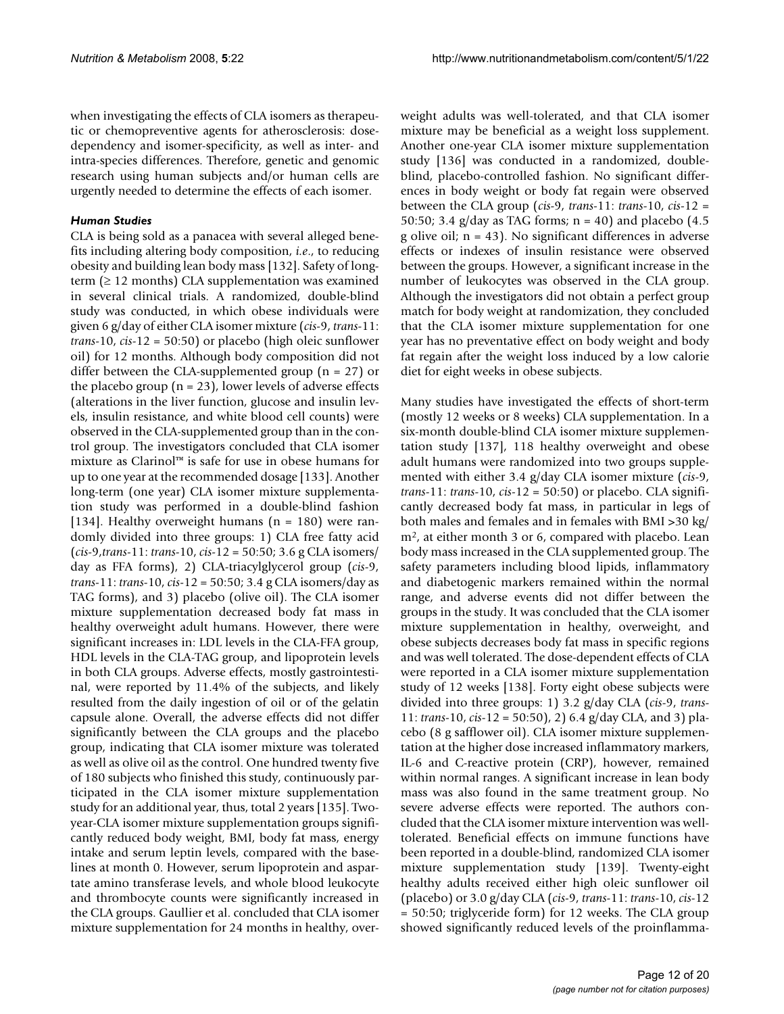when investigating the effects of CLA isomers as therapeutic or chemopreventive agents for atherosclerosis: dosedependency and isomer-specificity, as well as inter- and intra-species differences. Therefore, genetic and genomic research using human subjects and/or human cells are urgently needed to determine the effects of each isomer.

## *Human Studies*

CLA is being sold as a panacea with several alleged benefits including altering body composition, *i.e*., to reducing obesity and building lean body mass [132]. Safety of longterm  $(≥ 12$  months) CLA supplementation was examined in several clinical trials. A randomized, double-blind study was conducted, in which obese individuals were given 6 g/day of either CLA isomer mixture (*cis*-9, *trans*-11: *trans*-10, *cis*-12 = 50:50) or placebo (high oleic sunflower oil) for 12 months. Although body composition did not differ between the CLA-supplemented group ( $n = 27$ ) or the placebo group ( $n = 23$ ), lower levels of adverse effects (alterations in the liver function, glucose and insulin levels, insulin resistance, and white blood cell counts) were observed in the CLA-supplemented group than in the control group. The investigators concluded that CLA isomer mixture as Clarinol™ is safe for use in obese humans for up to one year at the recommended dosage [133]. Another long-term (one year) CLA isomer mixture supplementation study was performed in a double-blind fashion [134]. Healthy overweight humans  $(n = 180)$  were randomly divided into three groups: 1) CLA free fatty acid (*cis*-9,*trans*-11: *trans*-10, *cis*-12 = 50:50; 3.6 g CLA isomers/ day as FFA forms), 2) CLA-triacylglycerol group (*cis*-9, *trans*-11: *trans*-10, *cis*-12 = 50:50; 3.4 g CLA isomers/day as TAG forms), and 3) placebo (olive oil). The CLA isomer mixture supplementation decreased body fat mass in healthy overweight adult humans. However, there were significant increases in: LDL levels in the CLA-FFA group, HDL levels in the CLA-TAG group, and lipoprotein levels in both CLA groups. Adverse effects, mostly gastrointestinal, were reported by 11.4% of the subjects, and likely resulted from the daily ingestion of oil or of the gelatin capsule alone. Overall, the adverse effects did not differ significantly between the CLA groups and the placebo group, indicating that CLA isomer mixture was tolerated as well as olive oil as the control. One hundred twenty five of 180 subjects who finished this study, continuously participated in the CLA isomer mixture supplementation study for an additional year, thus, total 2 years [135]. Twoyear-CLA isomer mixture supplementation groups significantly reduced body weight, BMI, body fat mass, energy intake and serum leptin levels, compared with the baselines at month 0. However, serum lipoprotein and aspartate amino transferase levels, and whole blood leukocyte and thrombocyte counts were significantly increased in the CLA groups. Gaullier et al. concluded that CLA isomer mixture supplementation for 24 months in healthy, overweight adults was well-tolerated, and that CLA isomer mixture may be beneficial as a weight loss supplement. Another one-year CLA isomer mixture supplementation study [136] was conducted in a randomized, doubleblind, placebo-controlled fashion. No significant differences in body weight or body fat regain were observed between the CLA group (*cis*-9, *trans*-11: *trans*-10, *cis*-12 = 50:50; 3.4 g/day as TAG forms;  $n = 40$ ) and placebo (4.5) g olive oil;  $n = 43$ ). No significant differences in adverse effects or indexes of insulin resistance were observed between the groups. However, a significant increase in the number of leukocytes was observed in the CLA group. Although the investigators did not obtain a perfect group match for body weight at randomization, they concluded that the CLA isomer mixture supplementation for one year has no preventative effect on body weight and body fat regain after the weight loss induced by a low calorie diet for eight weeks in obese subjects.

Many studies have investigated the effects of short-term (mostly 12 weeks or 8 weeks) CLA supplementation. In a six-month double-blind CLA isomer mixture supplementation study [137], 118 healthy overweight and obese adult humans were randomized into two groups supplemented with either 3.4 g/day CLA isomer mixture (*cis*-9, *trans*-11: *trans*-10, *cis*-12 = 50:50) or placebo. CLA significantly decreased body fat mass, in particular in legs of both males and females and in females with BMI >30 kg/  $m<sup>2</sup>$ , at either month 3 or 6, compared with placebo. Lean body mass increased in the CLA supplemented group. The safety parameters including blood lipids, inflammatory and diabetogenic markers remained within the normal range, and adverse events did not differ between the groups in the study. It was concluded that the CLA isomer mixture supplementation in healthy, overweight, and obese subjects decreases body fat mass in specific regions and was well tolerated. The dose-dependent effects of CLA were reported in a CLA isomer mixture supplementation study of 12 weeks [138]. Forty eight obese subjects were divided into three groups: 1) 3.2 g/day CLA (*cis*-9, *trans*-11: *trans*-10, *cis*-12 = 50:50), 2) 6.4 g/day CLA, and 3) placebo (8 g safflower oil). CLA isomer mixture supplementation at the higher dose increased inflammatory markers, IL-6 and C-reactive protein (CRP), however, remained within normal ranges. A significant increase in lean body mass was also found in the same treatment group. No severe adverse effects were reported. The authors concluded that the CLA isomer mixture intervention was welltolerated. Beneficial effects on immune functions have been reported in a double-blind, randomized CLA isomer mixture supplementation study [139]. Twenty-eight healthy adults received either high oleic sunflower oil (placebo) or 3.0 g/day CLA (*cis*-9, *trans*-11: *trans*-10, *cis*-12 = 50:50; triglyceride form) for 12 weeks. The CLA group showed significantly reduced levels of the proinflamma-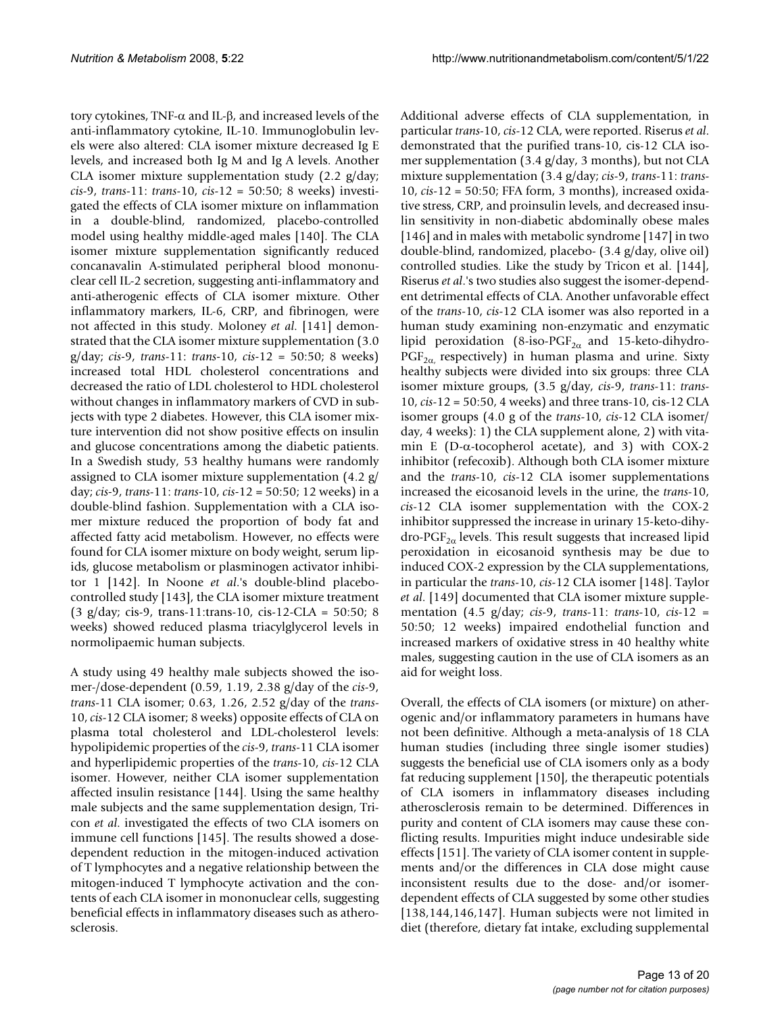tory cytokines, TNF-α and IL-β, and increased levels of the anti-inflammatory cytokine, IL-10. Immunoglobulin levels were also altered: CLA isomer mixture decreased Ig E levels, and increased both Ig M and Ig A levels. Another CLA isomer mixture supplementation study (2.2 g/day; *cis*-9, *trans*-11: *trans*-10, *cis*-12 = 50:50; 8 weeks) investigated the effects of CLA isomer mixture on inflammation in a double-blind, randomized, placebo-controlled model using healthy middle-aged males [140]. The CLA isomer mixture supplementation significantly reduced concanavalin A-stimulated peripheral blood mononuclear cell IL-2 secretion, suggesting anti-inflammatory and anti-atherogenic effects of CLA isomer mixture. Other inflammatory markers, IL-6, CRP, and fibrinogen, were not affected in this study. Moloney *et al*. [141] demonstrated that the CLA isomer mixture supplementation (3.0 g/day; *cis-*9, *trans*-11: *trans-*10, *cis-*12 = 50:50; 8 weeks) increased total HDL cholesterol concentrations and decreased the ratio of LDL cholesterol to HDL cholesterol without changes in inflammatory markers of CVD in subjects with type 2 diabetes. However, this CLA isomer mixture intervention did not show positive effects on insulin and glucose concentrations among the diabetic patients. In a Swedish study, 53 healthy humans were randomly assigned to CLA isomer mixture supplementation (4.2 g/ day; *cis-*9, *trans*-11: *trans-*10, *cis-*12 = 50:50; 12 weeks) in a double-blind fashion. Supplementation with a CLA isomer mixture reduced the proportion of body fat and affected fatty acid metabolism. However, no effects were found for CLA isomer mixture on body weight, serum lipids, glucose metabolism or plasminogen activator inhibitor 1 [142]. In Noone *et al*.'s double-blind placebocontrolled study [143], the CLA isomer mixture treatment (3 g/day; cis-9, trans-11:trans-10, cis-12-CLA = 50:50; 8 weeks) showed reduced plasma triacylglycerol levels in normolipaemic human subjects.

A study using 49 healthy male subjects showed the isomer-/dose-dependent (0.59, 1.19, 2.38 g/day of the *cis*-9, *trans*-11 CLA isomer; 0.63, 1.26, 2.52 g/day of the *trans*-10, *cis*-12 CLA isomer; 8 weeks) opposite effects of CLA on plasma total cholesterol and LDL-cholesterol levels: hypolipidemic properties of the *cis*-9, *trans*-11 CLA isomer and hyperlipidemic properties of the *trans*-10, *cis*-12 CLA isomer. However, neither CLA isomer supplementation affected insulin resistance [144]. Using the same healthy male subjects and the same supplementation design, Tricon *et al*. investigated the effects of two CLA isomers on immune cell functions [145]. The results showed a dosedependent reduction in the mitogen-induced activation of T lymphocytes and a negative relationship between the mitogen-induced T lymphocyte activation and the contents of each CLA isomer in mononuclear cells, suggesting beneficial effects in inflammatory diseases such as atherosclerosis.

Additional adverse effects of CLA supplementation, in particular *trans*-10, *cis*-12 CLA, were reported. Riserus *et al*. demonstrated that the purified trans-10, cis-12 CLA isomer supplementation (3.4 g/day, 3 months), but not CLA mixture supplementation (3.4 g/day; *cis*-9, *trans*-11: *trans*-10, *cis*-12 = 50:50; FFA form, 3 months), increased oxidative stress, CRP, and proinsulin levels, and decreased insulin sensitivity in non-diabetic abdominally obese males [146] and in males with metabolic syndrome [147] in two double-blind, randomized, placebo- (3.4 g/day, olive oil) controlled studies. Like the study by Tricon et al. [144], Riserus *et al*.'s two studies also suggest the isomer-dependent detrimental effects of CLA. Another unfavorable effect of the *trans*-10, *cis*-12 CLA isomer was also reported in a human study examining non-enzymatic and enzymatic lipid peroxidation (8-iso-PGF<sub>2 $\alpha$ </sub> and 15-keto-dihydro- $PGF_{2\alpha}$  respectively) in human plasma and urine. Sixty healthy subjects were divided into six groups: three CLA isomer mixture groups, (3.5 g/day, *cis*-9, *trans*-11: *trans*-10, *cis*-12 = 50:50, 4 weeks) and three trans-10, cis-12 CLA isomer groups (4.0 g of the *trans*-10, *cis*-12 CLA isomer/ day, 4 weeks): 1) the CLA supplement alone, 2) with vitamin E (D-α-tocopherol acetate), and 3) with COX-2 inhibitor (refecoxib). Although both CLA isomer mixture and the *trans*-10, *cis*-12 CLA isomer supplementations increased the eicosanoid levels in the urine, the *trans*-10, *cis*-12 CLA isomer supplementation with the COX-2 inhibitor suppressed the increase in urinary 15-keto-dihy- $\text{dro-PGF}_{2\alpha}$  levels. This result suggests that increased lipid peroxidation in eicosanoid synthesis may be due to induced COX-2 expression by the CLA supplementations, in particular the *trans*-10, *cis*-12 CLA isomer [148]. Taylor *et al*. [149] documented that CLA isomer mixture supplementation (4.5 g/day; *cis*-9, *trans*-11: *trans*-10, *cis*-12 = 50:50; 12 weeks) impaired endothelial function and increased markers of oxidative stress in 40 healthy white males, suggesting caution in the use of CLA isomers as an aid for weight loss.

Overall, the effects of CLA isomers (or mixture) on atherogenic and/or inflammatory parameters in humans have not been definitive. Although a meta-analysis of 18 CLA human studies (including three single isomer studies) suggests the beneficial use of CLA isomers only as a body fat reducing supplement [150], the therapeutic potentials of CLA isomers in inflammatory diseases including atherosclerosis remain to be determined. Differences in purity and content of CLA isomers may cause these conflicting results. Impurities might induce undesirable side effects [151]. The variety of CLA isomer content in supplements and/or the differences in CLA dose might cause inconsistent results due to the dose- and/or isomerdependent effects of CLA suggested by some other studies [138,144,146,147]. Human subjects were not limited in diet (therefore, dietary fat intake, excluding supplemental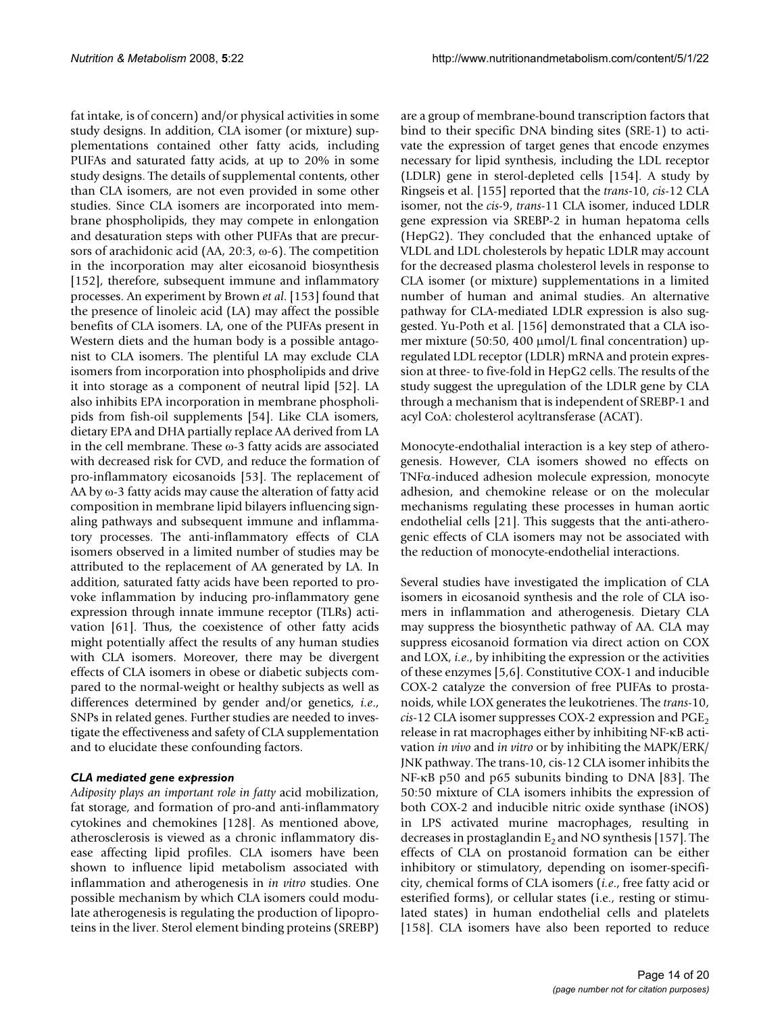fat intake, is of concern) and/or physical activities in some study designs. In addition, CLA isomer (or mixture) supplementations contained other fatty acids, including PUFAs and saturated fatty acids, at up to 20% in some study designs. The details of supplemental contents, other than CLA isomers, are not even provided in some other studies. Since CLA isomers are incorporated into membrane phospholipids, they may compete in enlongation and desaturation steps with other PUFAs that are precursors of arachidonic acid (AA, 20:3, ω-6). The competition in the incorporation may alter eicosanoid biosynthesis [152], therefore, subsequent immune and inflammatory processes. An experiment by Brown *et al*. [153] found that the presence of linoleic acid (LA) may affect the possible benefits of CLA isomers. LA, one of the PUFAs present in Western diets and the human body is a possible antagonist to CLA isomers. The plentiful LA may exclude CLA isomers from incorporation into phospholipids and drive it into storage as a component of neutral lipid [52]. LA also inhibits EPA incorporation in membrane phospholipids from fish-oil supplements [54]. Like CLA isomers, dietary EPA and DHA partially replace AA derived from LA in the cell membrane. These ω-3 fatty acids are associated with decreased risk for CVD, and reduce the formation of pro-inflammatory eicosanoids [53]. The replacement of AA by ω-3 fatty acids may cause the alteration of fatty acid composition in membrane lipid bilayers influencing signaling pathways and subsequent immune and inflammatory processes. The anti-inflammatory effects of CLA isomers observed in a limited number of studies may be attributed to the replacement of AA generated by LA. In addition, saturated fatty acids have been reported to provoke inflammation by inducing pro-inflammatory gene expression through innate immune receptor (TLRs) activation [61]. Thus, the coexistence of other fatty acids might potentially affect the results of any human studies with CLA isomers. Moreover, there may be divergent effects of CLA isomers in obese or diabetic subjects compared to the normal-weight or healthy subjects as well as differences determined by gender and/or genetics, *i.e*., SNPs in related genes. Further studies are needed to investigate the effectiveness and safety of CLA supplementation and to elucidate these confounding factors.

## *CLA mediated gene expression*

*Adiposity plays an important role in fatty* acid mobilization, fat storage, and formation of pro-and anti-inflammatory cytokines and chemokines [128]. As mentioned above, atherosclerosis is viewed as a chronic inflammatory disease affecting lipid profiles. CLA isomers have been shown to influence lipid metabolism associated with inflammation and atherogenesis in *in vitro* studies. One possible mechanism by which CLA isomers could modulate atherogenesis is regulating the production of lipoproteins in the liver. Sterol element binding proteins (SREBP) are a group of membrane-bound transcription factors that bind to their specific DNA binding sites (SRE-1) to activate the expression of target genes that encode enzymes necessary for lipid synthesis, including the LDL receptor (LDLR) gene in sterol-depleted cells [154]. A study by Ringseis et al. [155] reported that the *trans-*10, *cis*-12 CLA isomer, not the *cis*-9, *trans*-11 CLA isomer, induced LDLR gene expression via SREBP-2 in human hepatoma cells (HepG2). They concluded that the enhanced uptake of VLDL and LDL cholesterols by hepatic LDLR may account for the decreased plasma cholesterol levels in response to CLA isomer (or mixture) supplementations in a limited number of human and animal studies. An alternative pathway for CLA-mediated LDLR expression is also suggested. Yu-Poth et al. [156] demonstrated that a CLA isomer mixture (50:50, 400 μmol/L final concentration) upregulated LDL receptor (LDLR) mRNA and protein expression at three- to five-fold in HepG2 cells. The results of the study suggest the upregulation of the LDLR gene by CLA through a mechanism that is independent of SREBP-1 and acyl CoA: cholesterol acyltransferase (ACAT).

Monocyte-endothalial interaction is a key step of atherogenesis. However, CLA isomers showed no effects on TNFα-induced adhesion molecule expression, monocyte adhesion, and chemokine release or on the molecular mechanisms regulating these processes in human aortic endothelial cells [21]. This suggests that the anti-atherogenic effects of CLA isomers may not be associated with the reduction of monocyte-endothelial interactions.

Several studies have investigated the implication of CLA isomers in eicosanoid synthesis and the role of CLA isomers in inflammation and atherogenesis. Dietary CLA may suppress the biosynthetic pathway of AA. CLA may suppress eicosanoid formation via direct action on COX and LOX, *i.e*., by inhibiting the expression or the activities of these enzymes [5,6]. Constitutive COX-1 and inducible COX-2 catalyze the conversion of free PUFAs to prostanoids, while LOX generates the leukotrienes. The *trans*-10,  $cis$ -12 CLA isomer suppresses COX-2 expression and PGE<sub>2</sub> release in rat macrophages either by inhibiting NF-κB activation *in vivo* and *in vitro* or by inhibiting the MAPK/ERK/ JNK pathway. The trans-10, cis-12 CLA isomer inhibits the NF-κB p50 and p65 subunits binding to DNA [83]. The 50:50 mixture of CLA isomers inhibits the expression of both COX-2 and inducible nitric oxide synthase (iNOS) in LPS activated murine macrophages, resulting in decreases in prostaglandin  $E_2$  and NO synthesis [157]. The effects of CLA on prostanoid formation can be either inhibitory or stimulatory, depending on isomer-specificity, chemical forms of CLA isomers (*i.e*., free fatty acid or esterified forms), or cellular states (i.e., resting or stimulated states) in human endothelial cells and platelets [158]. CLA isomers have also been reported to reduce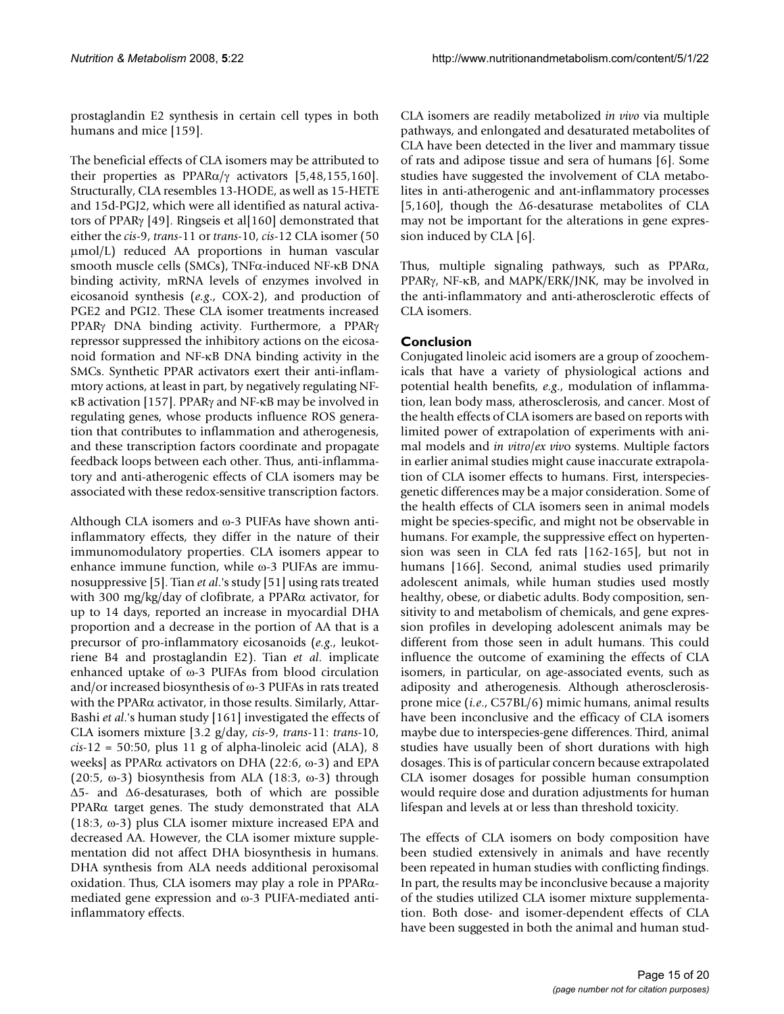prostaglandin E2 synthesis in certain cell types in both humans and mice [159].

The beneficial effects of CLA isomers may be attributed to their properties as PPARα/γ activators [5,48,155,160]. Structurally, CLA resembles 13-HODE, as well as 15-HETE and 15d-PGJ2, which were all identified as natural activators of PPARγ [49]. Ringseis et al[160] demonstrated that either the *cis*-9, *trans*-11 or *trans*-10, *cis*-12 CLA isomer (50 μmol/L) reduced AA proportions in human vascular smooth muscle cells (SMCs), TNFα-induced NF-κB DNA binding activity, mRNA levels of enzymes involved in eicosanoid synthesis (*e.g*., COX-2), and production of PGE2 and PGI2. These CLA isomer treatments increased PPARγ DNA binding activity. Furthermore, a PPARγ repressor suppressed the inhibitory actions on the eicosanoid formation and NF-κB DNA binding activity in the SMCs. Synthetic PPAR activators exert their anti-inflammtory actions, at least in part, by negatively regulating NFκB activation [157]. PPARγ and NF-κB may be involved in regulating genes, whose products influence ROS generation that contributes to inflammation and atherogenesis, and these transcription factors coordinate and propagate feedback loops between each other. Thus, anti-inflammatory and anti-atherogenic effects of CLA isomers may be associated with these redox-sensitive transcription factors.

Although CLA isomers and ω-3 PUFAs have shown antiinflammatory effects, they differ in the nature of their immunomodulatory properties. CLA isomers appear to enhance immune function, while ω-3 PUFAs are immunosuppressive [5]. Tian *et al*.'s study [51] using rats treated with 300 mg/kg/day of clofibrate, a PPARα activator, for up to 14 days, reported an increase in myocardial DHA proportion and a decrease in the portion of AA that is a precursor of pro-inflammatory eicosanoids (*e.g*., leukotriene B4 and prostaglandin E2). Tian *et al*. implicate enhanced uptake of ω-3 PUFAs from blood circulation and/or increased biosynthesis of ω-3 PUFAs in rats treated with the PPARα activator, in those results. Similarly, Attar-Bashi *et al*.'s human study [161] investigated the effects of CLA isomers mixture [3.2 g/day, *cis*-9, *trans*-11: *trans*-10, *cis*-12 = 50:50, plus 11 g of alpha-linoleic acid (ALA), 8 weeks] as PPARα activators on DHA (22:6, ω-3) and EPA (20:5, ω-3) biosynthesis from ALA (18:3, ω-3) through Δ5- and Δ6-desaturases, both of which are possible PPARα target genes. The study demonstrated that ALA (18:3, ω-3) plus CLA isomer mixture increased EPA and decreased AA. However, the CLA isomer mixture supplementation did not affect DHA biosynthesis in humans. DHA synthesis from ALA needs additional peroxisomal oxidation. Thus, CLA isomers may play a role in PPARαmediated gene expression and ω-3 PUFA-mediated antiinflammatory effects.

CLA isomers are readily metabolized *in vivo* via multiple pathways, and enlongated and desaturated metabolites of CLA have been detected in the liver and mammary tissue of rats and adipose tissue and sera of humans [6]. Some studies have suggested the involvement of CLA metabolites in anti-atherogenic and ant-inflammatory processes [5,160], though the Δ6-desaturase metabolites of CLA may not be important for the alterations in gene expression induced by CLA [6].

Thus, multiple signaling pathways, such as PPARα, PPARγ, NF-κB, and MAPK/ERK/JNK, may be involved in the anti-inflammatory and anti-atherosclerotic effects of CLA isomers.

# **Conclusion**

Conjugated linoleic acid isomers are a group of zoochemicals that have a variety of physiological actions and potential health benefits, *e.g*., modulation of inflammation, lean body mass, atherosclerosis, and cancer. Most of the health effects of CLA isomers are based on reports with limited power of extrapolation of experiments with animal models and *in vitro*/*ex viv*o systems. Multiple factors in earlier animal studies might cause inaccurate extrapolation of CLA isomer effects to humans. First, interspeciesgenetic differences may be a major consideration. Some of the health effects of CLA isomers seen in animal models might be species-specific, and might not be observable in humans. For example, the suppressive effect on hypertension was seen in CLA fed rats [162-165], but not in humans [166]. Second, animal studies used primarily adolescent animals, while human studies used mostly healthy, obese, or diabetic adults. Body composition, sensitivity to and metabolism of chemicals, and gene expression profiles in developing adolescent animals may be different from those seen in adult humans. This could influence the outcome of examining the effects of CLA isomers, in particular, on age-associated events, such as adiposity and atherogenesis. Although atherosclerosisprone mice (*i.e*., C57BL/6) mimic humans, animal results have been inconclusive and the efficacy of CLA isomers maybe due to interspecies-gene differences. Third, animal studies have usually been of short durations with high dosages. This is of particular concern because extrapolated CLA isomer dosages for possible human consumption would require dose and duration adjustments for human lifespan and levels at or less than threshold toxicity.

The effects of CLA isomers on body composition have been studied extensively in animals and have recently been repeated in human studies with conflicting findings. In part, the results may be inconclusive because a majority of the studies utilized CLA isomer mixture supplementation. Both dose- and isomer-dependent effects of CLA have been suggested in both the animal and human stud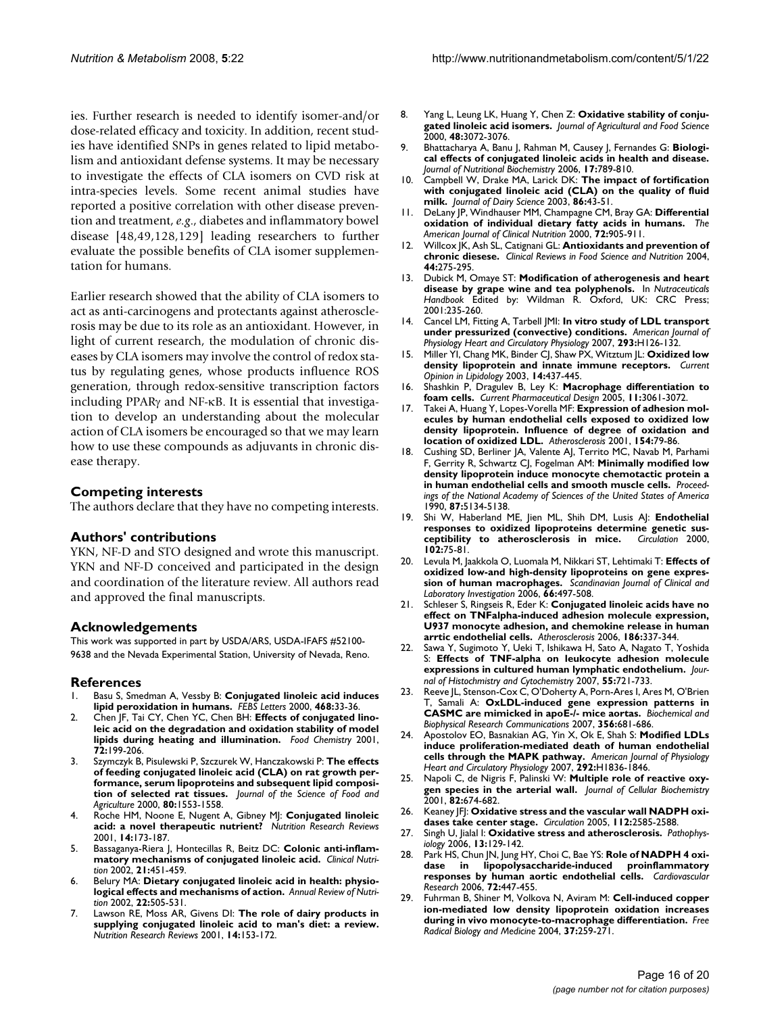ies. Further research is needed to identify isomer-and/or dose-related efficacy and toxicity. In addition, recent studies have identified SNPs in genes related to lipid metabolism and antioxidant defense systems. It may be necessary to investigate the effects of CLA isomers on CVD risk at intra-species levels. Some recent animal studies have reported a positive correlation with other disease prevention and treatment, *e.g*., diabetes and inflammatory bowel disease [48,49,128,129] leading researchers to further evaluate the possible benefits of CLA isomer supplementation for humans.

Earlier research showed that the ability of CLA isomers to act as anti-carcinogens and protectants against atherosclerosis may be due to its role as an antioxidant. However, in light of current research, the modulation of chronic diseases by CLA isomers may involve the control of redox status by regulating genes, whose products influence ROS generation, through redox-sensitive transcription factors including PPARγ and NF-κB. It is essential that investigation to develop an understanding about the molecular action of CLA isomers be encouraged so that we may learn how to use these compounds as adjuvants in chronic disease therapy.

## **Competing interests**

The authors declare that they have no competing interests.

## **Authors' contributions**

YKN, NF-D and STO designed and wrote this manuscript. YKN and NF-D conceived and participated in the design and coordination of the literature review. All authors read and approved the final manuscripts.

## **Acknowledgements**

This work was supported in part by USDA/ARS, USDA-IFAFS #52100- 9638 and the Nevada Experimental Station, University of Nevada, Reno.

## **References**

- 1. Basu S, Smedman A, Vessby B: **[Conjugated linoleic acid induces](http://www.ncbi.nlm.nih.gov/entrez/query.fcgi?cmd=Retrieve&db=PubMed&dopt=Abstract&list_uids=10683436) [lipid peroxidation in humans.](http://www.ncbi.nlm.nih.gov/entrez/query.fcgi?cmd=Retrieve&db=PubMed&dopt=Abstract&list_uids=10683436)** *FEBS Letters* 2000, **468:**33-36.
- 2. Chen JF, Tai CY, Chen YC, Chen BH: **Effects of conjugated linoleic acid on the degradation and oxidation stability of model lipids during heating and illumination.** *Food Chemistry* 2001, **72:**199-206.
- 3. Szymczyk B, Pisulewski P, Szczurek W, Hanczakowski P: **The effects of feeding conjugated linoleic acid (CLA) on rat growth performance, serum lipoproteins and subsequent lipid composition of selected rat tissues.** *Journal of the Science of Food and Agriculture* 2000, **80:**1553-1558.
- 4. Roche HM, Noone E, Nugent A, Gibney MJ: **Conjugated linoleic acid: a novel therapeutic nutrient?** *Nutrition Research Reviews* 2001, **14:**173-187.
- 5. Bassaganya-Riera J, Hontecillas R, Beitz DC: **[Colonic anti-inflam](http://www.ncbi.nlm.nih.gov/entrez/query.fcgi?cmd=Retrieve&db=PubMed&dopt=Abstract&list_uids=12468364)[matory mechanisms of conjugated linoleic acid.](http://www.ncbi.nlm.nih.gov/entrez/query.fcgi?cmd=Retrieve&db=PubMed&dopt=Abstract&list_uids=12468364)** *Clinical Nutrition* 2002, **21:**451-459.
- 6. Belury MA: **[Dietary conjugated linoleic acid in health: physio](http://www.ncbi.nlm.nih.gov/entrez/query.fcgi?cmd=Retrieve&db=PubMed&dopt=Abstract&list_uids=12055356)[logical effects and mechanisms of action.](http://www.ncbi.nlm.nih.gov/entrez/query.fcgi?cmd=Retrieve&db=PubMed&dopt=Abstract&list_uids=12055356)** *Annual Review of Nutrition* 2002, **22:**505-531.
- 7. Lawson RE, Moss AR, Givens DI: **The role of dairy products in supplying conjugated linoleic acid to man's diet: a review.** *Nutrition Research Reviews* 2001, **14:**153-172.
- 8. Yang L, Leung LK, Huang Y, Chen Z: **Oxidative stability of conjugated linoleic acid isomers.** *Journal of Agricultural and Food Science* 2000, **48:**3072-3076.
- 9. Bhattacharya A, Banu J, Rahman M, Causey J, Fernandes G: **[Biologi](http://www.ncbi.nlm.nih.gov/entrez/query.fcgi?cmd=Retrieve&db=PubMed&dopt=Abstract&list_uids=16650752)[cal effects of conjugated linoleic acids in health and disease.](http://www.ncbi.nlm.nih.gov/entrez/query.fcgi?cmd=Retrieve&db=PubMed&dopt=Abstract&list_uids=16650752)** *Journal of Nutritional Biochemistry* 2006, **17:**789-810.
- 10. Campbell W, Drake MA, Larick DK: **[The impact of fortification](http://www.ncbi.nlm.nih.gov/entrez/query.fcgi?cmd=Retrieve&db=PubMed&dopt=Abstract&list_uids=12613847) [with conjugated linoleic acid \(CLA\) on the quality of fluid](http://www.ncbi.nlm.nih.gov/entrez/query.fcgi?cmd=Retrieve&db=PubMed&dopt=Abstract&list_uids=12613847) [milk.](http://www.ncbi.nlm.nih.gov/entrez/query.fcgi?cmd=Retrieve&db=PubMed&dopt=Abstract&list_uids=12613847)** *Journal of Dairy Science* 2003, **86:**43-51.
- 11. DeLany JP, Windhauser MM, Champagne CM, Bray GA: **[Differential](http://www.ncbi.nlm.nih.gov/entrez/query.fcgi?cmd=Retrieve&db=PubMed&dopt=Abstract&list_uids=11010930) [oxidation of individual dietary fatty acids in humans.](http://www.ncbi.nlm.nih.gov/entrez/query.fcgi?cmd=Retrieve&db=PubMed&dopt=Abstract&list_uids=11010930)** *The American Journal of Clinical Nutrition* 2000, **72:**905-911.
- 12. Willcox JK, Ash SL, Catignani GL: **Antioxidants and prevention of chronic diesese.** *Clinical Reviews in Food Science and Nutrition* 2004, **44:**275-295.
- 13. Dubick M, Omaye ST: **Modification of atherogenesis and heart disease by grape wine and tea polyphenols.** In *Nutraceuticals Handbook* Edited by: Wildman R. Oxford, UK: CRC Press; 2001:235-260.
- 14. Cancel LM, Fitting A, Tarbell JMI: **In vitro study of LDL transport under pressurized (convective) conditions.** *American Journal of Physiology Heart and Circulatory Physiology* 2007, **293:**H126-132.
- 15. Miller YI, Chang MK, Binder CJ, Shaw PX, Witztum JL: **[Oxidized low](http://www.ncbi.nlm.nih.gov/entrez/query.fcgi?cmd=Retrieve&db=PubMed&dopt=Abstract&list_uids=14501582) [density lipoprotein and innate immune receptors.](http://www.ncbi.nlm.nih.gov/entrez/query.fcgi?cmd=Retrieve&db=PubMed&dopt=Abstract&list_uids=14501582)** *Current Opinion in Lipidology* 2003, **14:**437-445.
- 16. Shashkin P, Dragulev B, Ley K: **[Macrophage differentiation to](http://www.ncbi.nlm.nih.gov/entrez/query.fcgi?cmd=Retrieve&db=PubMed&dopt=Abstract&list_uids=16178764) [foam cells.](http://www.ncbi.nlm.nih.gov/entrez/query.fcgi?cmd=Retrieve&db=PubMed&dopt=Abstract&list_uids=16178764)** *Current Pharmaceutical Design* 2005, **11:**3061-3072.
- 17. Takei A, Huang Y, Lopes-Vorella MF: **[Expression of adhesion mol](http://www.ncbi.nlm.nih.gov/entrez/query.fcgi?cmd=Retrieve&db=PubMed&dopt=Abstract&list_uids=11137085)[ecules by human endothelial cells exposed to oxidized low](http://www.ncbi.nlm.nih.gov/entrez/query.fcgi?cmd=Retrieve&db=PubMed&dopt=Abstract&list_uids=11137085) density lipoprotein. Influence of degree of oxidation and [location of oxidized LDL.](http://www.ncbi.nlm.nih.gov/entrez/query.fcgi?cmd=Retrieve&db=PubMed&dopt=Abstract&list_uids=11137085)** *Atherosclerosis* 2001, **154:**79-86.
- Cushing SD, Berliner JA, Valente AJ, Territo MC, Navab M, Parhami F, Gerrity R, Schwartz CJ, Fogelman AM: **[Minimally modified low](http://www.ncbi.nlm.nih.gov/entrez/query.fcgi?cmd=Retrieve&db=PubMed&dopt=Abstract&list_uids=1695010) [density lipoprotein induce monocyte chemotactic protein a](http://www.ncbi.nlm.nih.gov/entrez/query.fcgi?cmd=Retrieve&db=PubMed&dopt=Abstract&list_uids=1695010) [in human endothelial cells and smooth muscle cells.](http://www.ncbi.nlm.nih.gov/entrez/query.fcgi?cmd=Retrieve&db=PubMed&dopt=Abstract&list_uids=1695010)** *Proceedings of the National Academy of Sciences of the United States of America* 1990, **87:**5134-5138.
- 19. Shi W, Haberland ME, Jien ML, Shih DM, Lusis AJ: **[Endothelial](http://www.ncbi.nlm.nih.gov/entrez/query.fcgi?cmd=Retrieve&db=PubMed&dopt=Abstract&list_uids=10880418) [responses to oxidized lipoproteins determine genetic sus](http://www.ncbi.nlm.nih.gov/entrez/query.fcgi?cmd=Retrieve&db=PubMed&dopt=Abstract&list_uids=10880418)[ceptibility to atherosclerosis in mice.](http://www.ncbi.nlm.nih.gov/entrez/query.fcgi?cmd=Retrieve&db=PubMed&dopt=Abstract&list_uids=10880418) 102:**75-81.
- 20. Levula M, Jaakkola O, Luomala M, Nikkari ST, Lehtimaki T: **Effects of oxidized low-and high-density lipoproteins on gene expression of human macrophages.** *Scandinavian Journal of Clinical and Laboratory Investigation* 2006, **66:**497-508.
- 21. Schleser S, Ringseis R, Eder K: **[Conjugated linoleic acids have no](http://www.ncbi.nlm.nih.gov/entrez/query.fcgi?cmd=Retrieve&db=PubMed&dopt=Abstract&list_uids=16219313) [effect on TNFalpha-induced adhesion molecule expression,](http://www.ncbi.nlm.nih.gov/entrez/query.fcgi?cmd=Retrieve&db=PubMed&dopt=Abstract&list_uids=16219313) U937 monocyte adhesion, and chemokine release in human [arrtic endothelial cells.](http://www.ncbi.nlm.nih.gov/entrez/query.fcgi?cmd=Retrieve&db=PubMed&dopt=Abstract&list_uids=16219313)** *Atherosclerosis* 2006, **186:**337-344.
- 22. Sawa Y, Sugimoto Y, Ueki T, Ishikawa H, Sato A, Nagato T, Yoshida S: **Effects of TNF-alpha on leukocyte adhesion molecule expressions in cultured human lymphatic endothelium.** *Journal of Histochmistry and Cytochemistry* 2007, **55:**721-733.
- 23. Reeve JL, Stenson-Cox C, O'Doherty A, Porn-Ares I, Ares M, O'Brien T, Samali A: **OxLDL-induced gene expression patterns in CASMC are mimicked in apoE-/- mice aortas.** *Biochemical and Biophysical Research Communications* 2007, **356:**681-686.
- 24. Apostolov EO, Basnakian AG, Yin X, Ok E, Shah S: **Modified LDLs induce proliferation-mediated death of human endothelial cells through the MAPK pathway.** *American Journal of Physiology Heart and Circulatory Physiology* 2007, **292:**H1836-1846.
- 25. Napoli C, de Nigris F, Palinski W: **[Multiple role of reactive oxy](http://www.ncbi.nlm.nih.gov/entrez/query.fcgi?cmd=Retrieve&db=PubMed&dopt=Abstract&list_uids=11500945)[gen species in the arterial wall.](http://www.ncbi.nlm.nih.gov/entrez/query.fcgi?cmd=Retrieve&db=PubMed&dopt=Abstract&list_uids=11500945)** *Journal of Cellular Biochemistry* 2001, **82:**674-682.
- 26. Keaney JFJ: [Oxidative stress and the vascular wall NADPH oxi](http://www.ncbi.nlm.nih.gov/entrez/query.fcgi?cmd=Retrieve&db=PubMed&dopt=Abstract&list_uids=16246957)**[dases take center stage.](http://www.ncbi.nlm.nih.gov/entrez/query.fcgi?cmd=Retrieve&db=PubMed&dopt=Abstract&list_uids=16246957)** *Circulation* 2005, **112:**2585-2588.
- 27. Singh U, Jialal I: **[Oxidative stress and atherosclerosis.](http://www.ncbi.nlm.nih.gov/entrez/query.fcgi?cmd=Retrieve&db=PubMed&dopt=Abstract&list_uids=16757157)** *Pathophysiology* 2006, **13:**129-142.
- 28. Park HS, Chun JN, Jung HY, Choi C, Bae YS: **Role of NADPH 4 oxi-**<br>dase in lipopolysaccharide-induced proinflammatory dase in lipopolysaccharide-induced **[responses by human aortic endothelial cells.](http://www.ncbi.nlm.nih.gov/entrez/query.fcgi?cmd=Retrieve&db=PubMed&dopt=Abstract&list_uids=17064675)** *Cardiovascular Research* 2006, **72:**447-455.
- 29. Fuhrman B, Shiner M, Volkova N, Aviram M: **Cell-induced copper ion-mediated low density lipoprotein oxidation increases during in vivo monocyte-to-macrophage differentiation.** *Free Radical Biology and Medicine* 2004, **37:**259-271.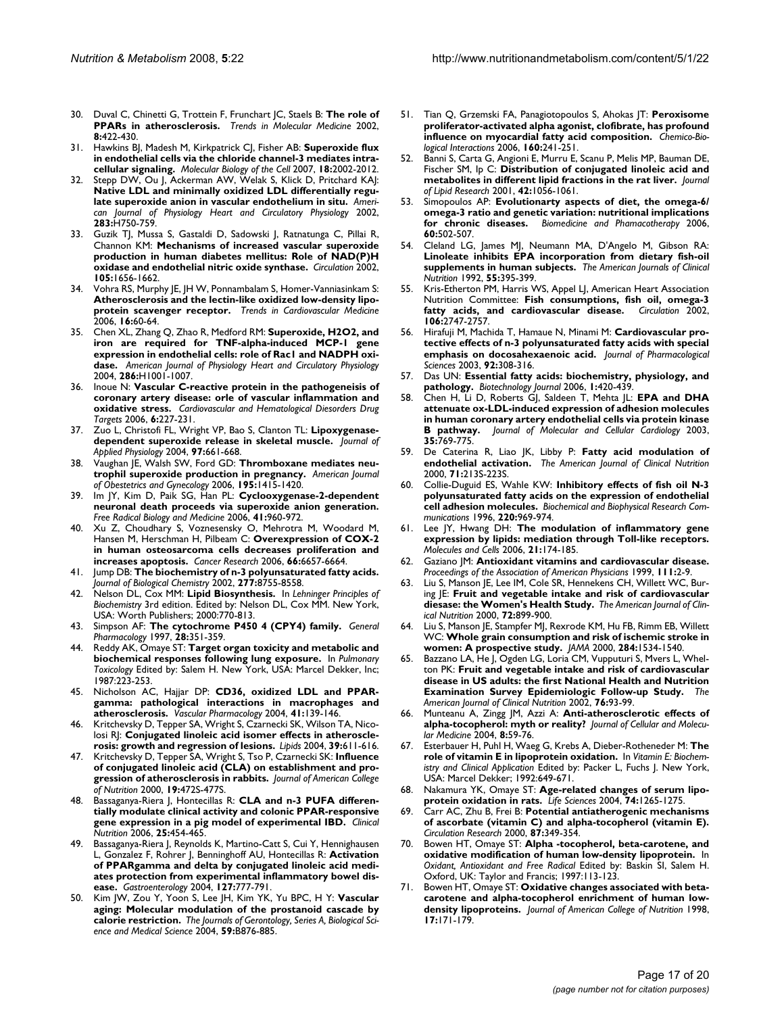- 30. Duval C, Chinetti G, Trottein F, Frunchart JC, Staels B: **[The role of](http://www.ncbi.nlm.nih.gov/entrez/query.fcgi?cmd=Retrieve&db=PubMed&dopt=Abstract&list_uids=12223313) [PPARs in atherosclerosis.](http://www.ncbi.nlm.nih.gov/entrez/query.fcgi?cmd=Retrieve&db=PubMed&dopt=Abstract&list_uids=12223313)** *Trends in Molecular Medicine* 2002, **8:**422-430.
- 31. Hawkins BJ, Madesh M, Kirkpatrick CJ, Fisher AB: **[Superoxide flux](http://www.ncbi.nlm.nih.gov/entrez/query.fcgi?cmd=Retrieve&db=PubMed&dopt=Abstract&list_uids=17360969) [in endothelial cells via the chloride channel-3 mediates intra](http://www.ncbi.nlm.nih.gov/entrez/query.fcgi?cmd=Retrieve&db=PubMed&dopt=Abstract&list_uids=17360969)[cellular signaling.](http://www.ncbi.nlm.nih.gov/entrez/query.fcgi?cmd=Retrieve&db=PubMed&dopt=Abstract&list_uids=17360969)** *Molecular Biology of the Cell* 2007, **18:**2002-2012.
- 32. Stepp DW, Ou J, Ackerman AW, Welak S, Klick D, Pritchard KAJ: **Native LDL and minimally oxidized LDL differentially regulate superoxide anion in vascular endothelium in situ.** *American Journal of Physiology Heart and Circulatory Physiology* 2002, **283:**H750-759.
- 33. Guzik TJ, Mussa S, Gastaldi D, Sadowski J, Ratnatunga C, Pillai R, Channon KM: **[Mechanisms of increased vascular superoxide](http://www.ncbi.nlm.nih.gov/entrez/query.fcgi?cmd=Retrieve&db=PubMed&dopt=Abstract&list_uids=11940543) [production in human diabetes mellitus: Role of NAD\(P\)H](http://www.ncbi.nlm.nih.gov/entrez/query.fcgi?cmd=Retrieve&db=PubMed&dopt=Abstract&list_uids=11940543) [oxidase and endothelial nitric oxide synthase.](http://www.ncbi.nlm.nih.gov/entrez/query.fcgi?cmd=Retrieve&db=PubMed&dopt=Abstract&list_uids=11940543)** *Circulation* 2002, **105:**1656-1662.
- Vohra RS, Murphy JE, JH W, Ponnambalam S, Homer-Vanniasinkam S: **[Atherosclerosis and the lectin-like oxidized low-density lipo](http://www.ncbi.nlm.nih.gov/entrez/query.fcgi?cmd=Retrieve&db=PubMed&dopt=Abstract&list_uids=16473764)[protein scavenger receptor.](http://www.ncbi.nlm.nih.gov/entrez/query.fcgi?cmd=Retrieve&db=PubMed&dopt=Abstract&list_uids=16473764)** *Trends in Cardiovascular Medicine* 2006, **16:**60-64.
- 35. Chen XL, Zhang Q, Zhao R, Medford RM: **Superoxide, H2O2, and iron are required for TNF-alpha-induced MCP-1 gene expression in endothelial cells: role of Rac1 and NADPH oxidase.** *American Journal of Physiology Heart and Circulatory Physiology* 2004, **286:**H1001-1007.
- 36. Inoue N: **Vascular C-reactive protein in the pathogeneisis of coronary artery disease: orle of vascular inflammation and oxidative stress.** *Cardiovascular and Hematological Diesorders Drug Targets* 2006, **6:**227-231.
- 37. Zuo L, Christofi FL, Wright VP, Bao S, Clanton TL: **[Lipoxygenase](http://www.ncbi.nlm.nih.gov/entrez/query.fcgi?cmd=Retrieve&db=PubMed&dopt=Abstract&list_uids=15107407)[dependent superoxide release in skeletal muscle.](http://www.ncbi.nlm.nih.gov/entrez/query.fcgi?cmd=Retrieve&db=PubMed&dopt=Abstract&list_uids=15107407)** *Journal of Applied Physiology* 2004, **97:**661-668.
- 38. Vaughan JE, Walsh SW, Ford GD: **Thromboxane mediates neutrophil superoxide production in pregnancy.** *American Journal of Obestetrics and Gynecology* 2006, **195:**1415-1420.
- 39. Im JY, Kim D, Paik SG, Han PL: **Cyclooxygenase-2-dependent neuronal death proceeds via superoxide anion generation.** *Free Radical Biology and Medicine* 2006, **41:**960-972.
- 40. Xu Z, Choudhary S, Voznesensky O, Mehrotra M, Woodard M, Hansen M, Herschman H, Pilbeam C: **[Overexpression of COX-2](http://www.ncbi.nlm.nih.gov/entrez/query.fcgi?cmd=Retrieve&db=PubMed&dopt=Abstract&list_uids=16818639) [in human osteosarcoma cells decreases proliferation and](http://www.ncbi.nlm.nih.gov/entrez/query.fcgi?cmd=Retrieve&db=PubMed&dopt=Abstract&list_uids=16818639) [increases apoptosis.](http://www.ncbi.nlm.nih.gov/entrez/query.fcgi?cmd=Retrieve&db=PubMed&dopt=Abstract&list_uids=16818639)** *Cancer Research* 2006, **66:**6657-6664.
- Jump DB: [The biochemistry of n-3 polyunsaturated fatty acids.](http://www.ncbi.nlm.nih.gov/entrez/query.fcgi?cmd=Retrieve&db=PubMed&dopt=Abstract&list_uids=11748246) *Journal of Biological Chemistry* 2002, **277:**8755-8558.
- 42. Nelson DL, Cox MM: **Lipid Biosynthesis.** In *Lehninger Principles of Biochemistry* 3rd edition. Edited by: Nelson DL, Cox MM. New York, USA: Worth Publishers; 2000:770-813.
- 43. Simpson AF: **[The cytochrome P450 4 \(CPY4\) family.](http://www.ncbi.nlm.nih.gov/entrez/query.fcgi?cmd=Retrieve&db=PubMed&dopt=Abstract&list_uids=9068972)** *General Pharmacology* 1997, **28:**351-359.
- 44. Reddy AK, Omaye ST: **Target organ toxicity and metabolic and biochemical responses following lung exposure.** In *Pulmonary Toxicology* Edited by: Salem H. New York, USA: Marcel Dekker, Inc; 1987:223-253.
- 45. Nicholson AC, Hajjar DP: **[CD36, oxidized LDL and PPAR](http://www.ncbi.nlm.nih.gov/entrez/query.fcgi?cmd=Retrieve&db=PubMed&dopt=Abstract&list_uids=15607497)[gamma: pathological interactions in macrophages and](http://www.ncbi.nlm.nih.gov/entrez/query.fcgi?cmd=Retrieve&db=PubMed&dopt=Abstract&list_uids=15607497) [atherosclerosis.](http://www.ncbi.nlm.nih.gov/entrez/query.fcgi?cmd=Retrieve&db=PubMed&dopt=Abstract&list_uids=15607497)** *Vascular Pharmacology* 2004, **41:**139-146.
- 46. Kritchevsky D, Tepper SA, Wright S, Czarnecki SK, Wilson TA, Nicolosi RJ: **[Conjugated linoleic acid isomer effects in atheroscle](http://www.ncbi.nlm.nih.gov/entrez/query.fcgi?cmd=Retrieve&db=PubMed&dopt=Abstract&list_uids=15588017)[rosis: growth and regression of lesions.](http://www.ncbi.nlm.nih.gov/entrez/query.fcgi?cmd=Retrieve&db=PubMed&dopt=Abstract&list_uids=15588017)** *Lipids* 2004, **39:**611-616.
- 47. Kritchevsky D, Tepper SA, Wright S, Tso P, Czarnecki SK: **Influence of conjugated linoleic acid (CLA) on establishment and progression of atherosclerosis in rabbits.** *Journal of American College of Nutrition* 2000, **19:**472S-477S.
- Bassaganya-Riera J, Hontecillas R: [CLA and n-3 PUFA differen](http://www.ncbi.nlm.nih.gov/entrez/query.fcgi?cmd=Retrieve&db=PubMed&dopt=Abstract&list_uids=16698153)**[tially modulate clinical activity and colonic PPAR-responsive](http://www.ncbi.nlm.nih.gov/entrez/query.fcgi?cmd=Retrieve&db=PubMed&dopt=Abstract&list_uids=16698153) [gene expression in a pig model of experimental IBD.](http://www.ncbi.nlm.nih.gov/entrez/query.fcgi?cmd=Retrieve&db=PubMed&dopt=Abstract&list_uids=16698153)** *Clinical Nutrition* 2006, **25:**454-465.
- 49. Bassaganya-Riera J, Reynolds K, Martino-Catt S, Cui Y, Hennighausen L, Gonzalez F, Rohrer J, Benninghoff AU, Hontecillas R: **[Activation](http://www.ncbi.nlm.nih.gov/entrez/query.fcgi?cmd=Retrieve&db=PubMed&dopt=Abstract&list_uids=15362034) [of PPARgamma and delta by conjugated linoleic acid medi](http://www.ncbi.nlm.nih.gov/entrez/query.fcgi?cmd=Retrieve&db=PubMed&dopt=Abstract&list_uids=15362034)ates protection from experimental inflammatory bowel dis[ease.](http://www.ncbi.nlm.nih.gov/entrez/query.fcgi?cmd=Retrieve&db=PubMed&dopt=Abstract&list_uids=15362034)** *Gastroenterology* 2004, **127:**777-791.
- 50. Kim JW, Zou Y, Yoon S, Lee JH, Kim YK, Yu BPC, H Y: **Vascular aging: Molecular modulation of the prostanoid cascade by calorie restriction.** *The Journals of Gerontology, Series A, Biological Science and Medical Science* 2004, **59:**B876-885.
- 51. Tian Q, Grzemski FA, Panagiotopoulos S, Ahokas JT: **[Peroxisome](http://www.ncbi.nlm.nih.gov/entrez/query.fcgi?cmd=Retrieve&db=PubMed&dopt=Abstract&list_uids=16540100) [proliferator-activated alpha agonist, clofibrate, has profound](http://www.ncbi.nlm.nih.gov/entrez/query.fcgi?cmd=Retrieve&db=PubMed&dopt=Abstract&list_uids=16540100) [influence on myocardial fatty acid composition.](http://www.ncbi.nlm.nih.gov/entrez/query.fcgi?cmd=Retrieve&db=PubMed&dopt=Abstract&list_uids=16540100)** *Chemico-Biological Interactions* 2006, **160:**241-251.
- 52. Banni S, Carta G, Angioni E, Murru E, Scanu P, Melis MP, Bauman DE, Fischer SM, Ip C: **[Distribution of conjugated linoleic acid and](http://www.ncbi.nlm.nih.gov/entrez/query.fcgi?cmd=Retrieve&db=PubMed&dopt=Abstract&list_uids=11441132) [metabolites in different lipid fractions in the rat liver.](http://www.ncbi.nlm.nih.gov/entrez/query.fcgi?cmd=Retrieve&db=PubMed&dopt=Abstract&list_uids=11441132)** *Journal of Lipid Research* 2001, **42:**1056-1061.
- 53. Simopoulos AP: **Evolutionarty aspects of diet, the omega-6/ omega-3 ratio and genetic variation: nutritional implications for chronic diseases.** *Biomedicine and Phamacotherapy* 2006, **60:**502-507.
- 54. Cleland LG, James MJ, Neumann MA, D'Angelo M, Gibson RA: **Linoleate inhibits EPA incorporation from dietary fish-oil supplements in human subjects.** *The American Journals of Clinical Nutrition* 1992, **55:**395-399.
- Kris-Etherton PM, Harris WS, Appel LJ, American Heart Association Nutrition Committee: **[Fish consumptions, fish oil, omega-3](http://www.ncbi.nlm.nih.gov/entrez/query.fcgi?cmd=Retrieve&db=PubMed&dopt=Abstract&list_uids=12438303) [fatty acids, and cardiovascular disease.](http://www.ncbi.nlm.nih.gov/entrez/query.fcgi?cmd=Retrieve&db=PubMed&dopt=Abstract&list_uids=12438303)** *Circulation* 2002, **106:**2747-2757.
- 56. Hirafuji M, Machida T, Hamaue N, Minami M: **[Cardiovascular pro](http://www.ncbi.nlm.nih.gov/entrez/query.fcgi?cmd=Retrieve&db=PubMed&dopt=Abstract&list_uids=12939515)[tective effects of n-3 polyunsaturated fatty acids with special](http://www.ncbi.nlm.nih.gov/entrez/query.fcgi?cmd=Retrieve&db=PubMed&dopt=Abstract&list_uids=12939515) [emphasis on docosahexaenoic acid.](http://www.ncbi.nlm.nih.gov/entrez/query.fcgi?cmd=Retrieve&db=PubMed&dopt=Abstract&list_uids=12939515)** *Journal of Pharmacological Sciences* 2003, **92:**308-316.
- 57. Das UN: **[Essential fatty acids: biochemistry, physiology, and](http://www.ncbi.nlm.nih.gov/entrez/query.fcgi?cmd=Retrieve&db=PubMed&dopt=Abstract&list_uids=16892270) [pathology.](http://www.ncbi.nlm.nih.gov/entrez/query.fcgi?cmd=Retrieve&db=PubMed&dopt=Abstract&list_uids=16892270)** *Biotechnology Journal* 2006, **1:**420-439.
- 58. Chen H, Li D, Roberts GJ, Saldeen T, Mehta JL: **[EPA and DHA](http://www.ncbi.nlm.nih.gov/entrez/query.fcgi?cmd=Retrieve&db=PubMed&dopt=Abstract&list_uids=12818567) [attenuate ox-LDL-induced expression of adhesion molecules](http://www.ncbi.nlm.nih.gov/entrez/query.fcgi?cmd=Retrieve&db=PubMed&dopt=Abstract&list_uids=12818567) in human coronary artery endothelial cells via protein kinase [B pathway.](http://www.ncbi.nlm.nih.gov/entrez/query.fcgi?cmd=Retrieve&db=PubMed&dopt=Abstract&list_uids=12818567)** *Journal of Molecular and Cellular Cardiology* 2003, **35:**769-775.
- 59. De Caterina R, Liao JK, Libby P: **[Fatty acid modulation of](http://www.ncbi.nlm.nih.gov/entrez/query.fcgi?cmd=Retrieve&db=PubMed&dopt=Abstract&list_uids=10617974) [endothelial activation.](http://www.ncbi.nlm.nih.gov/entrez/query.fcgi?cmd=Retrieve&db=PubMed&dopt=Abstract&list_uids=10617974)** *The American Journal of Clinical Nutrition* 2000, **71:**213S-223S.
- 60. Collie-Duguid ES, Wahle KW: **[Inhibitory effects of fish oil N-3](http://www.ncbi.nlm.nih.gov/entrez/query.fcgi?cmd=Retrieve&db=PubMed&dopt=Abstract&list_uids=8607877) [polyunsaturated fatty acids on the expression of endothelial](http://www.ncbi.nlm.nih.gov/entrez/query.fcgi?cmd=Retrieve&db=PubMed&dopt=Abstract&list_uids=8607877) [cell adhesion molecules.](http://www.ncbi.nlm.nih.gov/entrez/query.fcgi?cmd=Retrieve&db=PubMed&dopt=Abstract&list_uids=8607877)** *Biochemical and Biophysical Research Communications* 1996, **220:**969-974.
- 61. Lee JY, Hwang DH: **The modulation of inflammatory gene expression by lipids: mediation through Toll-like receptors.** *Molecules and Cells* 2006, **21:**174-185.
- 62. Gaziano JM: **[Antioxidant vitamins and cardiovascular disease.](http://www.ncbi.nlm.nih.gov/entrez/query.fcgi?cmd=Retrieve&db=PubMed&dopt=Abstract&list_uids=9893151)** *Proceedings of the Association of American Physicians* 1999, **111:**2-9.
- 63. Liu S, Manson JE, Lee IM, Cole SR, Hennekens CH, Willett WC, Buring JE: **[Fruit and vegetable intake and risk of cardiovascular](http://www.ncbi.nlm.nih.gov/entrez/query.fcgi?cmd=Retrieve&db=PubMed&dopt=Abstract&list_uids=11010927) [diesase: the Women's Health Study.](http://www.ncbi.nlm.nih.gov/entrez/query.fcgi?cmd=Retrieve&db=PubMed&dopt=Abstract&list_uids=11010927)** *The American Journal of Clinical Nutrition* 2000, **72:**899-900.
- Liu S, Manson JE, Stampfer MJ, Rexrode KM, Hu FB, Rimm EB, Willett WC: **[Whole grain consumption and risk of ischemic stroke in](http://www.ncbi.nlm.nih.gov/entrez/query.fcgi?cmd=Retrieve&db=PubMed&dopt=Abstract&list_uids=11000647) [women: A prospective study.](http://www.ncbi.nlm.nih.gov/entrez/query.fcgi?cmd=Retrieve&db=PubMed&dopt=Abstract&list_uids=11000647)** *JAMA* 2000, **284:**1534-1540.
- 65. Bazzano LA, He J, Ogden LG, Loria CM, Vupputuri S, Mvers L, Whelton PK: **[Fruit and vegetable intake and risk of cardiovascular](http://www.ncbi.nlm.nih.gov/entrez/query.fcgi?cmd=Retrieve&db=PubMed&dopt=Abstract&list_uids=12081821) [disease in US adults: the first National Health and Nutrition](http://www.ncbi.nlm.nih.gov/entrez/query.fcgi?cmd=Retrieve&db=PubMed&dopt=Abstract&list_uids=12081821) [Examination Survey Epidemiologic Follow-up Study.](http://www.ncbi.nlm.nih.gov/entrez/query.fcgi?cmd=Retrieve&db=PubMed&dopt=Abstract&list_uids=12081821)** *The American Journal of Clinical Nutrition* 2002, **76:**93-99.
- 66. Munteanu A, Zingg JM, Azzi A: **[Anti-atherosclerotic effects of](http://www.ncbi.nlm.nih.gov/entrez/query.fcgi?cmd=Retrieve&db=PubMed&dopt=Abstract&list_uids=15090261) [alpha-tocopherol: myth or reality?](http://www.ncbi.nlm.nih.gov/entrez/query.fcgi?cmd=Retrieve&db=PubMed&dopt=Abstract&list_uids=15090261)** *Journal of Cellular and Molecular Medicine* 2004, **8:**59-76.
- 67. Esterbauer H, Puhl H, Waeg G, Krebs A, Dieber-Rotheneder M: **The role of vitamin E in lipoprotein oxidation.** In *Vitamin E: Biochemistry and Clinical Application* Edited by: Packer L, Fuchs J. New York, USA: Marcel Dekker; 1992:649-671.
- Nakamura YK, Omaye ST: [Age-related changes of serum lipo](http://www.ncbi.nlm.nih.gov/entrez/query.fcgi?cmd=Retrieve&db=PubMed&dopt=Abstract&list_uids=14697409)**[protein oxidation in rats.](http://www.ncbi.nlm.nih.gov/entrez/query.fcgi?cmd=Retrieve&db=PubMed&dopt=Abstract&list_uids=14697409)** *Life Sciences* 2004, **74:**1265-1275.
- 69. Carr AC, Zhu B, Frei B: **[Potential antiatherogenic mechanisms](http://www.ncbi.nlm.nih.gov/entrez/query.fcgi?cmd=Retrieve&db=PubMed&dopt=Abstract&list_uids=10969031) [of ascorbate \(vitamin C\) and alpha-tocopherol \(vitamin E\).](http://www.ncbi.nlm.nih.gov/entrez/query.fcgi?cmd=Retrieve&db=PubMed&dopt=Abstract&list_uids=10969031)** *Circulation Research* 2000, **87:**349-354.
- 70. Bowen HT, Omaye ST: **Alpha -tocopherol, beta-carotene, and oxidative modification of human low-density lipoprotein.** In *Oxidant, Antioxidant and Free Radical* Edited by: Baskin SI, Salem H. Oxford, UK: Taylor and Francis; 1997:113-123.
- Bowen HT, Omaye ST: [Oxidative changes associated with beta](http://www.ncbi.nlm.nih.gov/entrez/query.fcgi?cmd=Retrieve&db=PubMed&dopt=Abstract&list_uids=9550461)**[carotene and alpha-tocopherol enrichment of human low](http://www.ncbi.nlm.nih.gov/entrez/query.fcgi?cmd=Retrieve&db=PubMed&dopt=Abstract&list_uids=9550461)[density lipoproteins.](http://www.ncbi.nlm.nih.gov/entrez/query.fcgi?cmd=Retrieve&db=PubMed&dopt=Abstract&list_uids=9550461)** *Journal of American College of Nutrition* 1998, **17:**171-179.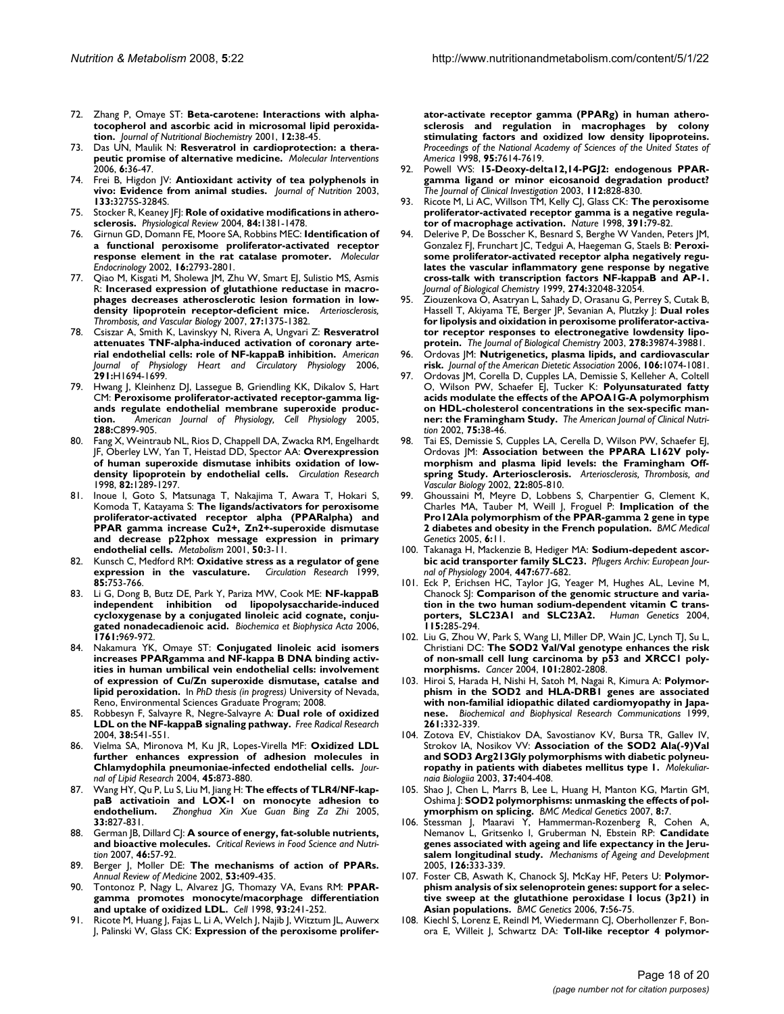- 72. Zhang P, Omaye ST: **[Beta-carotene: Interactions with alpha](http://www.ncbi.nlm.nih.gov/entrez/query.fcgi?cmd=Retrieve&db=PubMed&dopt=Abstract&list_uids=11179860)[tocopherol and ascorbic acid in microsomal lipid peroxida](http://www.ncbi.nlm.nih.gov/entrez/query.fcgi?cmd=Retrieve&db=PubMed&dopt=Abstract&list_uids=11179860)[tion.](http://www.ncbi.nlm.nih.gov/entrez/query.fcgi?cmd=Retrieve&db=PubMed&dopt=Abstract&list_uids=11179860)** *Journal of Nutritional Biochemistry* 2001, **12:**38-45.
- 73. Das UN, Maulik N: **[Resveratrol in cardioprotection: a thera](http://www.ncbi.nlm.nih.gov/entrez/query.fcgi?cmd=Retrieve&db=PubMed&dopt=Abstract&list_uids=16507749)[peutic promise of alternative medicine.](http://www.ncbi.nlm.nih.gov/entrez/query.fcgi?cmd=Retrieve&db=PubMed&dopt=Abstract&list_uids=16507749)** *Molecular Interventions* 2006, **6:**36-47.
- 74. Frei B, Higdon JV: **[Antioxidant activity of tea polyphenols in](http://www.ncbi.nlm.nih.gov/entrez/query.fcgi?cmd=Retrieve&db=PubMed&dopt=Abstract&list_uids=14519826) [vivo: Evidence from animal studies.](http://www.ncbi.nlm.nih.gov/entrez/query.fcgi?cmd=Retrieve&db=PubMed&dopt=Abstract&list_uids=14519826)** *Journal of Nutrition* 2003, **133:**3275S-3284S.
- 75. Stocker R, Keaney JFJ: **Role of oxidative modifications in atherosclerosis.** *Physiological Review* 2004, **84:**1381-1478.
- 76. Girnun GD, Domann FE, Moore SA, Robbins MEC: **[Identification of](http://www.ncbi.nlm.nih.gov/entrez/query.fcgi?cmd=Retrieve&db=PubMed&dopt=Abstract&list_uids=12456800) [a functional peroxisome proliferator-activated receptor](http://www.ncbi.nlm.nih.gov/entrez/query.fcgi?cmd=Retrieve&db=PubMed&dopt=Abstract&list_uids=12456800) [response element in the rat catalase promoter.](http://www.ncbi.nlm.nih.gov/entrez/query.fcgi?cmd=Retrieve&db=PubMed&dopt=Abstract&list_uids=12456800)** *Molecular Endocrinology* 2002, **16:**2793-2801.
- 77. Qiao M, Kisgati M, Sholewa JM, Zhu W, Smart EJ, Sulistio MS, Asmis R: **[Incerased expression of glutathione reductase in macro](http://www.ncbi.nlm.nih.gov/entrez/query.fcgi?cmd=Retrieve&db=PubMed&dopt=Abstract&list_uids=17363688)[phages decreases atherosclerotic lesion formation in low](http://www.ncbi.nlm.nih.gov/entrez/query.fcgi?cmd=Retrieve&db=PubMed&dopt=Abstract&list_uids=17363688)[density lipoprotein receptor-deficient mice.](http://www.ncbi.nlm.nih.gov/entrez/query.fcgi?cmd=Retrieve&db=PubMed&dopt=Abstract&list_uids=17363688)** *Arteriosclerosis, Thrombosis, and Vascular Biology* 2007, **27:**1375-1382.
- 78. Csiszar A, Smith K, Lavinskyy N, Rivera A, Ungvari Z: **[Resveratrol](http://www.ncbi.nlm.nih.gov/entrez/query.fcgi?cmd=Retrieve&db=PubMed&dopt=Abstract&list_uids=16973825) [attenuates TNF-alpha-induced activation of coronary arte](http://www.ncbi.nlm.nih.gov/entrez/query.fcgi?cmd=Retrieve&db=PubMed&dopt=Abstract&list_uids=16973825)[rial endothelial cells: role of NF-kappaB inhibition.](http://www.ncbi.nlm.nih.gov/entrez/query.fcgi?cmd=Retrieve&db=PubMed&dopt=Abstract&list_uids=16973825)** *American Journal of Physiology Heart and Circulatory Physiology* 2006, **291:**H1694-1699.
- 79. Hwang J, Kleinhenz DJ, Lassegue B, Griendling KK, Dikalov S, Hart CM: **[Peroxisome proliferator-activated receptor-gamma lig](http://www.ncbi.nlm.nih.gov/entrez/query.fcgi?cmd=Retrieve&db=PubMed&dopt=Abstract&list_uids=15590897)[ands regulate endothelial membrane superoxide produc](http://www.ncbi.nlm.nih.gov/entrez/query.fcgi?cmd=Retrieve&db=PubMed&dopt=Abstract&list_uids=15590897)[tion.](http://www.ncbi.nlm.nih.gov/entrez/query.fcgi?cmd=Retrieve&db=PubMed&dopt=Abstract&list_uids=15590897)** *American Journal of Physiology, Cell Physiology* 2005, **288:**C899-905.
- 80. Fang X, Weintraub NL, Rios D, Chappell DA, Zwacka RM, Engelhardt JF, Oberley LW, Yan T, Heistad DD, Spector AA: **[Overexpression](http://www.ncbi.nlm.nih.gov/entrez/query.fcgi?cmd=Retrieve&db=PubMed&dopt=Abstract&list_uids=9648725) [of human superoxide dismutase inhibits oxidation of low](http://www.ncbi.nlm.nih.gov/entrez/query.fcgi?cmd=Retrieve&db=PubMed&dopt=Abstract&list_uids=9648725)[density lipoprotein by endothelial cells.](http://www.ncbi.nlm.nih.gov/entrez/query.fcgi?cmd=Retrieve&db=PubMed&dopt=Abstract&list_uids=9648725)** *Circulation Research* 1998, **82:**1289-1297.
- 81. Inoue I, Goto S, Matsunaga T, Nakajima T, Awara T, Hokari S, Komoda T, Katayama S: **[The ligands/activators for peroxisome](http://www.ncbi.nlm.nih.gov/entrez/query.fcgi?cmd=Retrieve&db=PubMed&dopt=Abstract&list_uids=11172467) [proliferator-activated receptor alpha \(PPARalpha\) and](http://www.ncbi.nlm.nih.gov/entrez/query.fcgi?cmd=Retrieve&db=PubMed&dopt=Abstract&list_uids=11172467) PPAR gamma increase Cu2+, Zn2+-superoxide dismutase and decrease p22phox message expression in primary [endothelial cells.](http://www.ncbi.nlm.nih.gov/entrez/query.fcgi?cmd=Retrieve&db=PubMed&dopt=Abstract&list_uids=11172467)** *Metabolism* 2001, **50:**3-11.
- 82. Kunsch C, Medford RM: **[Oxidative stress as a regulator of gene](http://www.ncbi.nlm.nih.gov/entrez/query.fcgi?cmd=Retrieve&db=PubMed&dopt=Abstract&list_uids=10521248) [expression in the vasculature.](http://www.ncbi.nlm.nih.gov/entrez/query.fcgi?cmd=Retrieve&db=PubMed&dopt=Abstract&list_uids=10521248)** *Circulation Research* 1999, **85:**753-766.
- 83. Li G, Dong B, Butz DE, Park Y, Pariza MW, Cook ME: **NF-kappaB independent inhibition od lipopolysaccharide-induced cycloxygenase by a conjugated linoleic acid cognate, conjugated nonadecadienoic acid.** *Biochemica et Biophysica Acta* 2006, **1761:**969-972.
- 84. Nakamura YK, Omaye ST: **Conjugated linoleic acid isomers increases PPARgamma and NF-kappa B DNA binding activities in human umbilical vein endothelial cells: involvement of expression of Cu/Zn superoxide dismutase, catalse and lipid peroxidation.** In *PhD thesis (in progress)* University of Nevada, Reno, Environmental Sciences Graduate Program; 2008.
- 85. Robbesyn F, Salvayre R, Negre-Salvayre A: **[Dual role of oxidized](http://www.ncbi.nlm.nih.gov/entrez/query.fcgi?cmd=Retrieve&db=PubMed&dopt=Abstract&list_uids=15346645) [LDL on the NF-kappaB signaling pathway.](http://www.ncbi.nlm.nih.gov/entrez/query.fcgi?cmd=Retrieve&db=PubMed&dopt=Abstract&list_uids=15346645)** *Free Radical Research* 2004, **38:**541-551.
- 86. Vielma SA, Mironova M, Ku JR, Lopes-Virella MF: **[Oxidized LDL](http://www.ncbi.nlm.nih.gov/entrez/query.fcgi?cmd=Retrieve&db=PubMed&dopt=Abstract&list_uids=14967815) [further enhances expression of adhesion molecules in](http://www.ncbi.nlm.nih.gov/entrez/query.fcgi?cmd=Retrieve&db=PubMed&dopt=Abstract&list_uids=14967815) [Chlamydophila pneumoniae-infected endothelial cells.](http://www.ncbi.nlm.nih.gov/entrez/query.fcgi?cmd=Retrieve&db=PubMed&dopt=Abstract&list_uids=14967815)** *Journal of Lipid Research* 2004, **45:**873-880.
- 87. Wang HY, Qu P, Lu S, Liu M, Jiang H: **[The effects of TLR4/NF-kap](http://www.ncbi.nlm.nih.gov/entrez/query.fcgi?cmd=Retrieve&db=PubMed&dopt=Abstract&list_uids=16266460)[paB activatioin and LOX-1 on monocyte adhesion to](http://www.ncbi.nlm.nih.gov/entrez/query.fcgi?cmd=Retrieve&db=PubMed&dopt=Abstract&list_uids=16266460) [endothelium.](http://www.ncbi.nlm.nih.gov/entrez/query.fcgi?cmd=Retrieve&db=PubMed&dopt=Abstract&list_uids=16266460)** *Zhonghua Xin Xue Guan Bing Za Zhi* 2005, **33:**827-831.
- 88. German JB, Dillard CJ: **[A source of energy, fat-soluble nutrients,](http://www.ncbi.nlm.nih.gov/entrez/query.fcgi?cmd=Retrieve&db=PubMed&dopt=Abstract&list_uids=16403683) [and bioactive molecules.](http://www.ncbi.nlm.nih.gov/entrez/query.fcgi?cmd=Retrieve&db=PubMed&dopt=Abstract&list_uids=16403683)** *Critical Reviews in Food Science and Nutrition* 2007, **46:**57-92.
- 89. Berger J, Moller DE: **[The mechanisms of action of PPARs.](http://www.ncbi.nlm.nih.gov/entrez/query.fcgi?cmd=Retrieve&db=PubMed&dopt=Abstract&list_uids=11818483)** *Annual Review of Medicine* 2002, **53:**409-435.
- 90. Tontonoz P, Nagy L, Alvarez JG, Thomazy VA, Evans RM: **[PPAR](http://www.ncbi.nlm.nih.gov/entrez/query.fcgi?cmd=Retrieve&db=PubMed&dopt=Abstract&list_uids=9568716)[gamma promotes monocyte/macorphage differentiation](http://www.ncbi.nlm.nih.gov/entrez/query.fcgi?cmd=Retrieve&db=PubMed&dopt=Abstract&list_uids=9568716) [and uptake of oxidized LDL.](http://www.ncbi.nlm.nih.gov/entrez/query.fcgi?cmd=Retrieve&db=PubMed&dopt=Abstract&list_uids=9568716)** *Cell* 1998, **93:**241-252.
- 91. Ricote M, Huang J, Fajas L, Li A, Welch J, Najib J, Witztum JL, Auwerx J, Palinski W, Glass CK: **[Expression of the peroxisome prolifer-](http://www.ncbi.nlm.nih.gov/entrez/query.fcgi?cmd=Retrieve&db=PubMed&dopt=Abstract&list_uids=9636198)**

**ator-activate receptor gamma (PPARg) in human athero[sclerosis and regulation in macrophages by colony](http://www.ncbi.nlm.nih.gov/entrez/query.fcgi?cmd=Retrieve&db=PubMed&dopt=Abstract&list_uids=9636198) stimulating factors and oxidized low density lipoproteins.** *Proceedings of the National Academy of Sciences of the United States of America* 1998, **95:**7614-7619.

- 92. Powell WS: **[15-Deoxy-delta12,14-PGJ2: endogenous PPAR](http://www.ncbi.nlm.nih.gov/entrez/query.fcgi?cmd=Retrieve&db=PubMed&dopt=Abstract&list_uids=12975467)[gamma ligand or minor eicosanoid degradation product?](http://www.ncbi.nlm.nih.gov/entrez/query.fcgi?cmd=Retrieve&db=PubMed&dopt=Abstract&list_uids=12975467)** *The Journal of Clinical Investigation* 2003, **112:**828-830.
- 93. Ricote M, Li AC, Willson TM, Kelly CJ, Glass CK: **[The peroxisome](http://www.ncbi.nlm.nih.gov/entrez/query.fcgi?cmd=Retrieve&db=PubMed&dopt=Abstract&list_uids=9422508) [proliferator-activated receptor gamma is a negative regula](http://www.ncbi.nlm.nih.gov/entrez/query.fcgi?cmd=Retrieve&db=PubMed&dopt=Abstract&list_uids=9422508)[tor of macrophage activation.](http://www.ncbi.nlm.nih.gov/entrez/query.fcgi?cmd=Retrieve&db=PubMed&dopt=Abstract&list_uids=9422508)** *Nature* 1998, **391:**79-82.
- Delerive P, De Bosscher K, Besnard S, Berghe W Vanden, Peters JM, Gonzalez FJ, Frunchart JC, Tedgui A, Haegeman G, Staels B: **[Peroxi](http://www.ncbi.nlm.nih.gov/entrez/query.fcgi?cmd=Retrieve&db=PubMed&dopt=Abstract&list_uids=10542237)some proliferator-activated receptor alpha negatively regu[lates the vascular inflammatory gene response by negative](http://www.ncbi.nlm.nih.gov/entrez/query.fcgi?cmd=Retrieve&db=PubMed&dopt=Abstract&list_uids=10542237) cross-talk with transcription factors NF-kappaB and AP-1.** *Journal of Biological Chemistry* 1999, **274:**32048-32054.
- 95. Ziouzenkova O, Asatryan L, Sahady D, Orasanu G, Perrey S, Cutak B, Hassell T, Akiyama TE, Berger JP, Sevanian A, Plutzky J: **[Dual roles](http://www.ncbi.nlm.nih.gov/entrez/query.fcgi?cmd=Retrieve&db=PubMed&dopt=Abstract&list_uids=12878589) [for lipolysis and oixidation in peroxisome proliferator-activa](http://www.ncbi.nlm.nih.gov/entrez/query.fcgi?cmd=Retrieve&db=PubMed&dopt=Abstract&list_uids=12878589)tor receptor responses to electronegative lowdensity lipo[protein.](http://www.ncbi.nlm.nih.gov/entrez/query.fcgi?cmd=Retrieve&db=PubMed&dopt=Abstract&list_uids=12878589)** *The Journal of Biological Chemistry* 2003, **278:**39874-39881.
- 96. Ordovas JM: **[Nutrigenetics, plasma lipids, and cardiovascular](http://www.ncbi.nlm.nih.gov/entrez/query.fcgi?cmd=Retrieve&db=PubMed&dopt=Abstract&list_uids=16815124) [risk.](http://www.ncbi.nlm.nih.gov/entrez/query.fcgi?cmd=Retrieve&db=PubMed&dopt=Abstract&list_uids=16815124)** *Journal of the American Dietetic Association* 2006, **106:**1074-1081.
- 97. Ordovas JM, Corella D, Cupples LA, Demissie S, Kelleher A, Coltell O, Wilson PW, Schaefer EJ, Tucker K: **[Polyunsaturated fatty](http://www.ncbi.nlm.nih.gov/entrez/query.fcgi?cmd=Retrieve&db=PubMed&dopt=Abstract&list_uids=11756058) [acids modulate the effects of the APOA1G-A polymorphism](http://www.ncbi.nlm.nih.gov/entrez/query.fcgi?cmd=Retrieve&db=PubMed&dopt=Abstract&list_uids=11756058) on HDL-cholesterol concentrations in the sex-specific man[ner: the Framingham Study.](http://www.ncbi.nlm.nih.gov/entrez/query.fcgi?cmd=Retrieve&db=PubMed&dopt=Abstract&list_uids=11756058)** *The American Journal of Clinical Nutrition* 2002, **75:**38-46.
- Tai ES, Demissie S, Cupples LA, Cerella D, Wilson PW, Schaefer EJ, Ordovas JM: **[Association between the PPARA L162V poly](http://www.ncbi.nlm.nih.gov/entrez/query.fcgi?cmd=Retrieve&db=PubMed&dopt=Abstract&list_uids=12006394)[morphism and plasma lipid levels: the Framingham Off](http://www.ncbi.nlm.nih.gov/entrez/query.fcgi?cmd=Retrieve&db=PubMed&dopt=Abstract&list_uids=12006394)[spring Study. Arteriosclerosis.](http://www.ncbi.nlm.nih.gov/entrez/query.fcgi?cmd=Retrieve&db=PubMed&dopt=Abstract&list_uids=12006394)** *Arteriosclerosis, Thrombosis, and Vascular Biology* 2002, **22:**805-810.
- 99. Ghoussaini M, Meyre D, Lobbens S, Charpentier G, Clement K, Charles MA, Tauber M, Weill J, Froguel P: **[Implication of the](http://www.ncbi.nlm.nih.gov/entrez/query.fcgi?cmd=Retrieve&db=PubMed&dopt=Abstract&list_uids=15784141) [Pro12Ala polymorphism of the PPAR-gamma 2 gene in type](http://www.ncbi.nlm.nih.gov/entrez/query.fcgi?cmd=Retrieve&db=PubMed&dopt=Abstract&list_uids=15784141) [2 diabetes and obesity in the French population.](http://www.ncbi.nlm.nih.gov/entrez/query.fcgi?cmd=Retrieve&db=PubMed&dopt=Abstract&list_uids=15784141)** *BMC Medical Genetics* 2005, **6:**11.
- 100. Takanaga H, Mackenzie B, Hediger MA: **[Sodium-depedent ascor](http://www.ncbi.nlm.nih.gov/entrez/query.fcgi?cmd=Retrieve&db=PubMed&dopt=Abstract&list_uids=12845532)[bic acid transporter family SLC23.](http://www.ncbi.nlm.nih.gov/entrez/query.fcgi?cmd=Retrieve&db=PubMed&dopt=Abstract&list_uids=12845532)** *Pflugers Archiv: European Journal of Physiology* 2004, **447:**677-682.
- 101. Eck P, Erichsen HC, Taylor JG, Yeager M, Hughes AL, Levine M, Chanock SJ: **[Comparison of the genomic structure and varia](http://www.ncbi.nlm.nih.gov/entrez/query.fcgi?cmd=Retrieve&db=PubMed&dopt=Abstract&list_uids=15316768)**tion in the two human sodium-dependent vitamin C trans-<br>porters, **SLC23A1** and **SLC23A2.** Human Genetics 2004, [porters, SLC23A1 and SLC23A2.](http://www.ncbi.nlm.nih.gov/entrez/query.fcgi?cmd=Retrieve&db=PubMed&dopt=Abstract&list_uids=15316768) **115:**285-294.
- 102. Liu G, Zhou W, Park S, Wang LI, Miller DP, Wain JC, Lynch TJ, Su L, Christiani DC: **[The SOD2 Val/Val genotype enhances the risk](http://www.ncbi.nlm.nih.gov/entrez/query.fcgi?cmd=Retrieve&db=PubMed&dopt=Abstract&list_uids=15534883) [of non-small cell lung carcinoma by p53 and XRCC1 poly](http://www.ncbi.nlm.nih.gov/entrez/query.fcgi?cmd=Retrieve&db=PubMed&dopt=Abstract&list_uids=15534883)[morphisms.](http://www.ncbi.nlm.nih.gov/entrez/query.fcgi?cmd=Retrieve&db=PubMed&dopt=Abstract&list_uids=15534883)** *Cancer* 2004, **101:**2802-2808.
- 103. Hiroi S, Harada H, Nishi H, Satoh M, Nagai R, Kimura A: **[Polymor](http://www.ncbi.nlm.nih.gov/entrez/query.fcgi?cmd=Retrieve&db=PubMed&dopt=Abstract&list_uids=10425186)[phism in the SOD2 and HLA-DRB1 genes are associated](http://www.ncbi.nlm.nih.gov/entrez/query.fcgi?cmd=Retrieve&db=PubMed&dopt=Abstract&list_uids=10425186) with non-familial idiopathic dilated cardiomyopathy in Japa[nese.](http://www.ncbi.nlm.nih.gov/entrez/query.fcgi?cmd=Retrieve&db=PubMed&dopt=Abstract&list_uids=10425186)** *Biochemical and Biophysical Research Communications* 1999, **261:**332-339.
- 104. Zotova EV, Chistiakov DA, Savostianov KV, Bursa TR, Gallev IV, Strokov IA, Nosikov VV: **[Association of the SOD2 Ala\(-9\)Val](http://www.ncbi.nlm.nih.gov/entrez/query.fcgi?cmd=Retrieve&db=PubMed&dopt=Abstract&list_uids=12815947) [and SOD3 Arg213Gly polymorphisms with diabetic polyneu](http://www.ncbi.nlm.nih.gov/entrez/query.fcgi?cmd=Retrieve&db=PubMed&dopt=Abstract&list_uids=12815947)[ropathy in patients with diabetes mellitus type 1.](http://www.ncbi.nlm.nih.gov/entrez/query.fcgi?cmd=Retrieve&db=PubMed&dopt=Abstract&list_uids=12815947)** *Molekuliarnaia Biologiia* 2003, **37:**404-408.
- 105. Shao J, Chen L, Marrs B, Lee L, Huang H, Manton KG, Martin GM, Oshima J: **[SOD2 polymorphisms: unmasking the effects of pol](http://www.ncbi.nlm.nih.gov/entrez/query.fcgi?cmd=Retrieve&db=PubMed&dopt=Abstract&list_uids=17331249)[ymorphism on splicing.](http://www.ncbi.nlm.nih.gov/entrez/query.fcgi?cmd=Retrieve&db=PubMed&dopt=Abstract&list_uids=17331249)** *BMC Medical Genetics* 2007, **8:**7.
- 106. Stessman J, Maaravi Y, Hammerman-Rozenberg R, Cohen A, Nemanov L, Gritsenko I, Gruberman N, Ebstein RP: **[Candidate](http://www.ncbi.nlm.nih.gov/entrez/query.fcgi?cmd=Retrieve&db=PubMed&dopt=Abstract&list_uids=15621215) [genes associated with ageing and life expectancy in the Jeru](http://www.ncbi.nlm.nih.gov/entrez/query.fcgi?cmd=Retrieve&db=PubMed&dopt=Abstract&list_uids=15621215)[salem longitudinal study.](http://www.ncbi.nlm.nih.gov/entrez/query.fcgi?cmd=Retrieve&db=PubMed&dopt=Abstract&list_uids=15621215)** *Mechanisms of Ageing and Development* 2005, **126:**333-339.
- 107. Foster CB, Aswath K, Chanock SJ, McKay HF, Peters U: **[Polymor](http://www.ncbi.nlm.nih.gov/entrez/query.fcgi?cmd=Retrieve&db=PubMed&dopt=Abstract&list_uids=17156480)[phism analysis of six selenoprotein genes: support for a selec](http://www.ncbi.nlm.nih.gov/entrez/query.fcgi?cmd=Retrieve&db=PubMed&dopt=Abstract&list_uids=17156480)tive sweep at the glutathione peroxidase I locus (3p21) in [Asian populations.](http://www.ncbi.nlm.nih.gov/entrez/query.fcgi?cmd=Retrieve&db=PubMed&dopt=Abstract&list_uids=17156480)** *BMC Genetics* 2006, **7:**56-75.
- 108. Kiechl S, Lorenz E, Reindl M, Wiedermann CJ, Oberhollenzer F, Bonora E, Willeit J, Schwartz DA: **[Toll-like receptor 4 polymor](http://www.ncbi.nlm.nih.gov/entrez/query.fcgi?cmd=Retrieve&db=PubMed&dopt=Abstract&list_uids=12124407)-**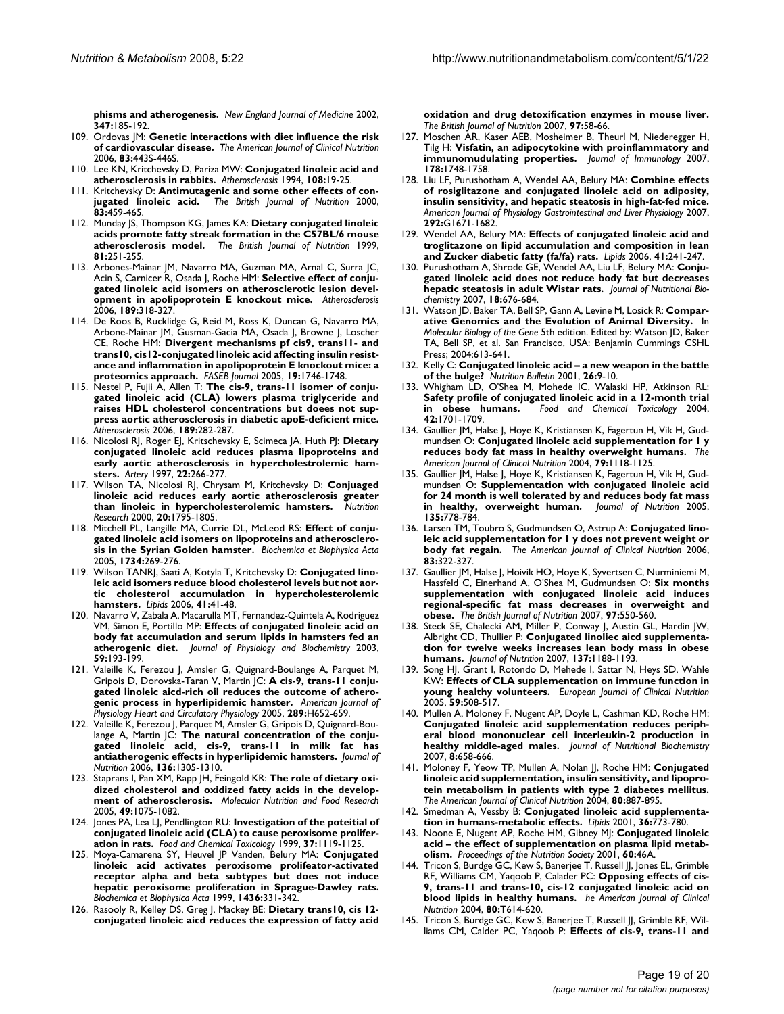**[phisms and atherogenesis.](http://www.ncbi.nlm.nih.gov/entrez/query.fcgi?cmd=Retrieve&db=PubMed&dopt=Abstract&list_uids=12124407)** *New England Journal of Medicine* 2002, **347:**185-192.

- 109. Ordovas JM: **[Genetic interactions with diet influence the risk](http://www.ncbi.nlm.nih.gov/entrez/query.fcgi?cmd=Retrieve&db=PubMed&dopt=Abstract&list_uids=16470010) [of cardiovascular disease.](http://www.ncbi.nlm.nih.gov/entrez/query.fcgi?cmd=Retrieve&db=PubMed&dopt=Abstract&list_uids=16470010)** *The American Journal of Clinical Nutrition* 2006, **83:**443S-446S.
- 110. Lee KN, Kritchevsky D, Pariza MW: **[Conjugated linoleic acid and](http://www.ncbi.nlm.nih.gov/entrez/query.fcgi?cmd=Retrieve&db=PubMed&dopt=Abstract&list_uids=7980704) [atherosclerosis in rabbits.](http://www.ncbi.nlm.nih.gov/entrez/query.fcgi?cmd=Retrieve&db=PubMed&dopt=Abstract&list_uids=7980704)** *Atherosclerosis* 1994, **108:**19-25.
- 111. Kritchevsky D: **[Antimutagenic and some other effects of con](http://www.ncbi.nlm.nih.gov/entrez/query.fcgi?cmd=Retrieve&db=PubMed&dopt=Abstract&list_uids=10953669)[jugated linoleic acid.](http://www.ncbi.nlm.nih.gov/entrez/query.fcgi?cmd=Retrieve&db=PubMed&dopt=Abstract&list_uids=10953669)** *The British Journal of Nutrition* 2000, **83:**459-465.
- 112. Munday JS, Thompson KG, James KA: **[Dietary conjugated linoleic](http://www.ncbi.nlm.nih.gov/entrez/query.fcgi?cmd=Retrieve&db=PubMed&dopt=Abstract&list_uids=10434852) [acids promote fatty streak formation in the C57BL/6 mouse](http://www.ncbi.nlm.nih.gov/entrez/query.fcgi?cmd=Retrieve&db=PubMed&dopt=Abstract&list_uids=10434852) [atherosclerosis model.](http://www.ncbi.nlm.nih.gov/entrez/query.fcgi?cmd=Retrieve&db=PubMed&dopt=Abstract&list_uids=10434852)** *The British Journal of Nutrition* 1999, **81:**251-255.
- 113. Arbones-Mainar JM, Navarro MA, Guzman MA, Arnal C, Surra JC, Acin S, Carnicer R, Osada J, Roche HM: **[Selective effect of conju](http://www.ncbi.nlm.nih.gov/entrez/query.fcgi?cmd=Retrieve&db=PubMed&dopt=Abstract&list_uids=16530768)[gated linoleic acid isomers on atherosclerotic lesion devel](http://www.ncbi.nlm.nih.gov/entrez/query.fcgi?cmd=Retrieve&db=PubMed&dopt=Abstract&list_uids=16530768)[opment in apolipoprotein E knockout mice.](http://www.ncbi.nlm.nih.gov/entrez/query.fcgi?cmd=Retrieve&db=PubMed&dopt=Abstract&list_uids=16530768)** *Atherosclerosis* 2006, **189:**318-327.
- 114. De Roos B, Rucklidge G, Reid M, Ross K, Duncan G, Navarro MA, Arbone-Mainar JM, Gusman-Gacia MA, Osada J, Browne J, Loscher CE, Roche HM: **[Divergent mechanisms pf cis9, trans11- and](http://www.ncbi.nlm.nih.gov/entrez/query.fcgi?cmd=Retrieve&db=PubMed&dopt=Abstract&list_uids=16055499) [trans10, cis12-conjugated linoleic acid affecting insulin resist](http://www.ncbi.nlm.nih.gov/entrez/query.fcgi?cmd=Retrieve&db=PubMed&dopt=Abstract&list_uids=16055499)ance and inflammation in apolipoprotein E knockout mice: a [proteomics approach.](http://www.ncbi.nlm.nih.gov/entrez/query.fcgi?cmd=Retrieve&db=PubMed&dopt=Abstract&list_uids=16055499)** *FASEB Journal* 2005, **19:**1746-1748.
- 115. Nestel P, Fujii A, Allen T: **[The cis-9, trans-11 isomer of conju](http://www.ncbi.nlm.nih.gov/entrez/query.fcgi?cmd=Retrieve&db=PubMed&dopt=Abstract&list_uids=16473358)[gated linoleic acid \(CLA\) lowers plasma triglyceride and](http://www.ncbi.nlm.nih.gov/entrez/query.fcgi?cmd=Retrieve&db=PubMed&dopt=Abstract&list_uids=16473358) raises HDL cholesterol concentrations but doees not suppress aortic atherosclerosis in diabetic apoE-deficient mice.** *Atherosclerosis* 2006, **189:**282-287.
- 116. Nicolosi RJ, Roger EJ, Kritschevsky E, Scimeca JA, Huth PJ: **[Dietary](http://www.ncbi.nlm.nih.gov/entrez/query.fcgi?cmd=Retrieve&db=PubMed&dopt=Abstract&list_uids=9209699) [conjugated linoleic acid reduces plasma lipoproteins and](http://www.ncbi.nlm.nih.gov/entrez/query.fcgi?cmd=Retrieve&db=PubMed&dopt=Abstract&list_uids=9209699) early aortic atherosclerosis in hypercholestrolemic ham[sters.](http://www.ncbi.nlm.nih.gov/entrez/query.fcgi?cmd=Retrieve&db=PubMed&dopt=Abstract&list_uids=9209699)** *Artery* 1997, **22:**266-277.
- 117. Wilson TA, Nicolosi RJ, Chrysam M, Kritchevsky D: **Conjuaged linoleic acid reduces early aortic atherosclerosis greater than linoleic in hypercholesterolemic hamsters.** *Nutrition Research* 2000, **20:**1795-1805.
- 118. Mitchell PL, Langille MA, Currie DL, McLeod RS: **[Effect of conju](http://www.ncbi.nlm.nih.gov/entrez/query.fcgi?cmd=Retrieve&db=PubMed&dopt=Abstract&list_uids=15919237)[gated linoleic acid isomers on lipoproteins and atherosclero](http://www.ncbi.nlm.nih.gov/entrez/query.fcgi?cmd=Retrieve&db=PubMed&dopt=Abstract&list_uids=15919237)[sis in the Syrian Golden hamster.](http://www.ncbi.nlm.nih.gov/entrez/query.fcgi?cmd=Retrieve&db=PubMed&dopt=Abstract&list_uids=15919237)** *Biochemica et Biophysica Acta* 2005, **1734:**269-276.
- 119. Wilson TANRJ, Saati A, Kotyla T, Kritchevsky D: **[Conjugated lino](http://www.ncbi.nlm.nih.gov/entrez/query.fcgi?cmd=Retrieve&db=PubMed&dopt=Abstract&list_uids=16555470)[leic acid isomers reduce blood cholesterol levels but not aor](http://www.ncbi.nlm.nih.gov/entrez/query.fcgi?cmd=Retrieve&db=PubMed&dopt=Abstract&list_uids=16555470)tic cholesterol accumulation in hypercholesterolemic [hamsters.](http://www.ncbi.nlm.nih.gov/entrez/query.fcgi?cmd=Retrieve&db=PubMed&dopt=Abstract&list_uids=16555470)** *Lipids* 2006, **41:**41-48.
- 120. Navarro V, Zabala A, Macarulla MT, Fernandez-Quintela A, Rodriguez VM, Simon E, Portillo MP: **Effects of conjugated linoleic acid on body fat accumulation and serum lipids in hamsters fed an atherogenic diet.** *Journal of Physiology and Biochemistry* 2003, **59:**193-199.
- 121. Valeille K, Ferezou J, Amsler G, Quignard-Boulange A, Parquet M, Gripois D, Dorovska-Taran V, Martin JC: **[A cis-9, trans-11 conju](http://www.ncbi.nlm.nih.gov/entrez/query.fcgi?cmd=Retrieve&db=PubMed&dopt=Abstract&list_uids=15778275)[gated linoleic aicd-rich oil reduces the outcome of athero](http://www.ncbi.nlm.nih.gov/entrez/query.fcgi?cmd=Retrieve&db=PubMed&dopt=Abstract&list_uids=15778275)[genic process in hyperlipidemic hamster.](http://www.ncbi.nlm.nih.gov/entrez/query.fcgi?cmd=Retrieve&db=PubMed&dopt=Abstract&list_uids=15778275)** *American Journal of Physiology Heart and Circulatory Physiology* 2005, **289:**H652-659.
- 122. Valeille K, Ferezou J, Parquet M, Amsler G, Gripois D, Quignard-Bou-lange A, Martin JC: [The natural concentration of the conju](http://www.ncbi.nlm.nih.gov/entrez/query.fcgi?cmd=Retrieve&db=PubMed&dopt=Abstract&list_uids=16614421)**[gated linoleic acid, cis-9, trans-11 in milk fat has](http://www.ncbi.nlm.nih.gov/entrez/query.fcgi?cmd=Retrieve&db=PubMed&dopt=Abstract&list_uids=16614421) [antiatherogenic effects in hyperlipidemic hamsters.](http://www.ncbi.nlm.nih.gov/entrez/query.fcgi?cmd=Retrieve&db=PubMed&dopt=Abstract&list_uids=16614421)** *Journal of Nutrition* 2006, **136:**1305-1310.
- 123. Staprans I, Pan XM, Rapp JH, Feingold KR: **[The role of dietary oxi](http://www.ncbi.nlm.nih.gov/entrez/query.fcgi?cmd=Retrieve&db=PubMed&dopt=Abstract&list_uids=16270280)[dized cholesterol and oxidized fatty acids in the develop](http://www.ncbi.nlm.nih.gov/entrez/query.fcgi?cmd=Retrieve&db=PubMed&dopt=Abstract&list_uids=16270280)[ment of atherosclerosis.](http://www.ncbi.nlm.nih.gov/entrez/query.fcgi?cmd=Retrieve&db=PubMed&dopt=Abstract&list_uids=16270280)** *Molecular Nutrition and Food Research* 2005, **49:**1075-1082.
- 124. Jones PA, Lea LJ, Pendlington RU: **[Investigation of the poteitial of](http://www.ncbi.nlm.nih.gov/entrez/query.fcgi?cmd=Retrieve&db=PubMed&dopt=Abstract&list_uids=10566884) [conjugated linoleic acid \(CLA\) to cause peroxisome prolifer](http://www.ncbi.nlm.nih.gov/entrez/query.fcgi?cmd=Retrieve&db=PubMed&dopt=Abstract&list_uids=10566884)[ation in rats.](http://www.ncbi.nlm.nih.gov/entrez/query.fcgi?cmd=Retrieve&db=PubMed&dopt=Abstract&list_uids=10566884)** *Food and Chemical Toxicology* 1999, **37:**1119-1125.
- 125. Moya-Camarena SY, Heuvel JP Vanden, Belury MA: **Conjugated linoleic acid activates peroxisome prolifeator-activated receptor alpha and beta subtypes but does not induce hepatic peroxisome proliferation in Sprague-Dawley rats.** *Biochemica et Biophysica Acta* 1999, **1436:**331-342.
- 126. Rasooly R, Kelley DS, Greg J, Mackey BE: Dietary trans 10, cis 12**[conjugated linoleic aicd reduces the expression of fatty acid](http://www.ncbi.nlm.nih.gov/entrez/query.fcgi?cmd=Retrieve&db=PubMed&dopt=Abstract&list_uids=17217560)**

**[oxidation and drug detoxification enzymes in mouse liver.](http://www.ncbi.nlm.nih.gov/entrez/query.fcgi?cmd=Retrieve&db=PubMed&dopt=Abstract&list_uids=17217560)** *The British Journal of Nutrition* 2007, **97:**58-66.

- 127. Moschen AR, Kaser AEB, Mosheimer B, Theurl M, Niederegger H, Tilg H: **Visfatin, an adipocytokine with proinflammatory and immunomudulating properties.** *Journal of Immunology* 2007, **178:**1748-1758.
- 128. Liu LF, Purushotham A, Wendel AA, Belury MA: **[Combine effects](http://www.ncbi.nlm.nih.gov/entrez/query.fcgi?cmd=Retrieve&db=PubMed&dopt=Abstract&list_uids=17322064) [of rosiglitazone and conjugated linoleic acid on adiposity,](http://www.ncbi.nlm.nih.gov/entrez/query.fcgi?cmd=Retrieve&db=PubMed&dopt=Abstract&list_uids=17322064) insulin sensitivity, and hepatic steatosis in high-fat-fed mice.** *American Journal of Physiology Gastrointestinal and Liver Physiology* 2007, **292:**G1671-1682.
- 129. Wendel AA, Belury MA: **[Effects of conjugated linoleic acid and](http://www.ncbi.nlm.nih.gov/entrez/query.fcgi?cmd=Retrieve&db=PubMed&dopt=Abstract&list_uids=16711598) [troglitazone on lipid accumulation and composition in lean](http://www.ncbi.nlm.nih.gov/entrez/query.fcgi?cmd=Retrieve&db=PubMed&dopt=Abstract&list_uids=16711598) [and Zucker diabetic fatty \(fa/fa\) rats.](http://www.ncbi.nlm.nih.gov/entrez/query.fcgi?cmd=Retrieve&db=PubMed&dopt=Abstract&list_uids=16711598)** *Lipids* 2006, **41:**241-247.
- 130. Purushotham A, Shrode GE, Wendel AA, Liu LF, Belury MA: **[Conju](http://www.ncbi.nlm.nih.gov/entrez/query.fcgi?cmd=Retrieve&db=PubMed&dopt=Abstract&list_uids=17368879)[gated linoleic acid does not reduce body fat but decreases](http://www.ncbi.nlm.nih.gov/entrez/query.fcgi?cmd=Retrieve&db=PubMed&dopt=Abstract&list_uids=17368879) [hepatic steatosis in adult Wistar rats.](http://www.ncbi.nlm.nih.gov/entrez/query.fcgi?cmd=Retrieve&db=PubMed&dopt=Abstract&list_uids=17368879)** *Journal of Nutritional Biochemistry* 2007, **18:**676-684.
- 131. Watson JD, Baker TA, Bell SP, Gann A, Levine M, Losick R: **Comparative Genomics and the Evolution of Animal Diversity.** In *Molecular Biology of the Gene* 5th edition. Edited by: Watson JD, Baker TA, Bell SP, et al. San Francisco, USA: Benjamin Cummings CSHL Press; 2004:613-641.
- 132. Kelly C: **Conjugated linoleic acid a new weapon in the battle of the bulge?** *Nutrition Bulletin* 2001, **26:**9-10.
- 133. Whigham LD, O'Shea M, Mohede IC, Walaski HP, Atkinson RL: **[Safety profile of conjugated linoleic acid in a 12-month trial](http://www.ncbi.nlm.nih.gov/entrez/query.fcgi?cmd=Retrieve&db=PubMed&dopt=Abstract&list_uids=15354322) [in obese humans.](http://www.ncbi.nlm.nih.gov/entrez/query.fcgi?cmd=Retrieve&db=PubMed&dopt=Abstract&list_uids=15354322)** *Food and Chemical Toxicology* 2004, **42:**1701-1709.
- 134. Gaullier JM, Halse J, Hoye K, Kristiansen K, Fagertun H, Vik H, Gudmundsen O: **[Conjugated linoleic acid supplementation for 1 y](http://www.ncbi.nlm.nih.gov/entrez/query.fcgi?cmd=Retrieve&db=PubMed&dopt=Abstract&list_uids=15159244) [reduces body fat mass in healthy overweight humans.](http://www.ncbi.nlm.nih.gov/entrez/query.fcgi?cmd=Retrieve&db=PubMed&dopt=Abstract&list_uids=15159244)** *The American Journal of Clinical Nutrition* 2004, **79:**1118-1125.
- 135. Gaullier JM, Halse J, Hoye K, Kristiansen K, Fagertun H, Vik H, Gudmundsen O: **[Supplementation with conjugated linoleic acid](http://www.ncbi.nlm.nih.gov/entrez/query.fcgi?cmd=Retrieve&db=PubMed&dopt=Abstract&list_uids=15795434) [for 24 month is well tolerated by and reduces body fat mass](http://www.ncbi.nlm.nih.gov/entrez/query.fcgi?cmd=Retrieve&db=PubMed&dopt=Abstract&list_uids=15795434) [in healthy, overweight human.](http://www.ncbi.nlm.nih.gov/entrez/query.fcgi?cmd=Retrieve&db=PubMed&dopt=Abstract&list_uids=15795434)** *Journal of Nutrition* 2005, **135:**778-784.
- 136. Larsen TM, Toubro S, Gudmundsen O, Astrup A: **Conjugated linoleic acid supplementation for 1 y does not prevent weight or body fat regain.** *The American Journal of Clinical Nutrition* 2006, **83:**322-327.
- 137. Gaullier JM, Halse J, Hoivik HO, Hoye K, Syvertsen C, Nurminiemi M, Hassfeld C, Einerhand A, O'Shea M, Gudmundsen O: **[Six months](http://www.ncbi.nlm.nih.gov/entrez/query.fcgi?cmd=Retrieve&db=PubMed&dopt=Abstract&list_uids=17313718) [supplementation with conjugated linoleic acid induces](http://www.ncbi.nlm.nih.gov/entrez/query.fcgi?cmd=Retrieve&db=PubMed&dopt=Abstract&list_uids=17313718) regional-specific fat mass decreases in overweight and [obese.](http://www.ncbi.nlm.nih.gov/entrez/query.fcgi?cmd=Retrieve&db=PubMed&dopt=Abstract&list_uids=17313718)** *The British Journal of Nutrition* 2007, **97:**550-560.
- 138. Steck SE, Chalecki AM, Miller P, Conway J, Austin GL, Hardin JW, Albright CD, Thullier P: **[Conjugated linoliec aicd supplementa](http://www.ncbi.nlm.nih.gov/entrez/query.fcgi?cmd=Retrieve&db=PubMed&dopt=Abstract&list_uids=17449580)[tion for twelve weeks increases lean body mass in obese](http://www.ncbi.nlm.nih.gov/entrez/query.fcgi?cmd=Retrieve&db=PubMed&dopt=Abstract&list_uids=17449580) [humans.](http://www.ncbi.nlm.nih.gov/entrez/query.fcgi?cmd=Retrieve&db=PubMed&dopt=Abstract&list_uids=17449580)** *Journal of Nutrition* 2007, **137:**1188-1193.
- 139. Song HJ, Grant I, Rotondo D, Mehede I, Sattar N, Heys SD, Wahle KW: **[Effects of CLA supplementation on immune function in](http://www.ncbi.nlm.nih.gov/entrez/query.fcgi?cmd=Retrieve&db=PubMed&dopt=Abstract&list_uids=15674307) [young healthy volunteers.](http://www.ncbi.nlm.nih.gov/entrez/query.fcgi?cmd=Retrieve&db=PubMed&dopt=Abstract&list_uids=15674307)** *European Journal of Clinical Nutrition* 2005, **59:**508-517.
- 140. Mullen A, Moloney F, Nugent AP, Doyle L, Cashman KD, Roche HM: **Conjugated linoleic acid supplementation reduces peripheral blood mononuclear cell interleukin-2 production in healthy middle-aged males.** *Journal of Nutritional Biochemistry* 2007, **8:**658-666.
- 141. Moloney F, Yeow TP, Mullen A, Nolan JJ, Roche HM: **[Conjugated](http://www.ncbi.nlm.nih.gov/entrez/query.fcgi?cmd=Retrieve&db=PubMed&dopt=Abstract&list_uids=15447895) [linoleic acid supplementation, insulin sensitivity, and lipopro](http://www.ncbi.nlm.nih.gov/entrez/query.fcgi?cmd=Retrieve&db=PubMed&dopt=Abstract&list_uids=15447895)tein metabolism in patients with type 2 diabetes mellitus.** *The American Journal of Clinical Nutrition* 2004, **80:**887-895.
- 142. Smedman A, Vessby B: **[Conjugated linoleic acid supplementa](http://www.ncbi.nlm.nih.gov/entrez/query.fcgi?cmd=Retrieve&db=PubMed&dopt=Abstract&list_uids=11592727)[tion in humans-metabolic effects.](http://www.ncbi.nlm.nih.gov/entrez/query.fcgi?cmd=Retrieve&db=PubMed&dopt=Abstract&list_uids=11592727)** *Lipids* 2001, **36:**773-780.
- 143. Noone E, Nugent AP, Roche HM, Gibney MJ: **Conjugated linoleic acid – the effect of supplementation on plasma lipid metabolism.** *Proceedings of the Nutrition Society* 2001, **60:**46A.
- 144. Tricon S, Burdge GC, Kew S, Banerjee T, Russell JJ, Jones EL, Grimble RF, Williams CM, Yaqoob P, Calader PC: **Opposing effects of cis-9, trans-11 and trans-10, cis-12 conjugated linoleic acid on blood lipids in healthy humans.** *he American Journal of Clinical Nutrition* 2004, **80:**T614-620.
- 145. Tricon S, Burdge GC, Kew S, Banerjee T, Russell JJ, Grimble RF, Williams CM, Calder PC, Yaqoob P: **[Effects of cis-9, trans-11 and](http://www.ncbi.nlm.nih.gov/entrez/query.fcgi?cmd=Retrieve&db=PubMed&dopt=Abstract&list_uids=15585778)**